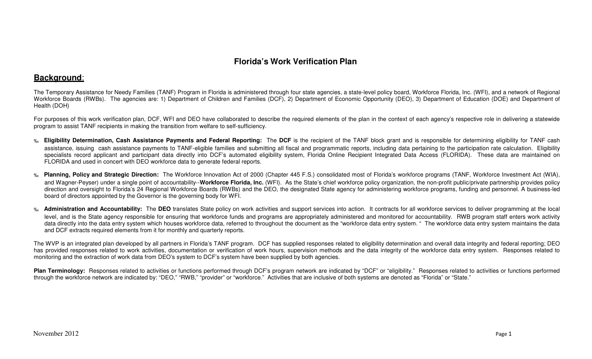# **Florida's Work Verification Plan**

# **Background**:

The Temporary Assistance for Needy Families (TANF) Program in Florida is administered through four state agencies, a state-level policy board, Workforce Florida, Inc. (WFI), and a network of Regional Workforce Boards (RWBs). The agencies are: 1) Department of Children and Families (DCF), 2) Department of Economic Opportunity (DEO), 3) Department of Education (DOE) and Department of Health (DOH)

For purposes of this work verification plan, DCF, WFI and DEO have collaborated to describe the required elements of the plan in the context of each agency's respective role in delivering a statewide program to assist TANF recipients in making the transition from welfare to self-sufficiency.

- ‰ **Eligibility Determination, Cash Assistance Payments and Federal Reporting:** The **DCF** is the recipient of the TANF block grant and is responsible for determining eligibility for TANF cash assistance, issuing cash assistance payments to TANF-eligible families and submitting all fiscal and programmatic reports, including data pertaining to the participation rate calculation. Eligibility specialists record applicant and participant data directly into DCF's automated eligibility system, Florida Online Recipient Integrated Data Access (FLORIDA). These data are maintained on FLORIDA and used in concert with DEO workforce data to generate federal reports.
- **Planning, Policy and Strategic Direction:** The Workforce Innovation Act of 2000 (Chapter 445 F.S.) consolidated most of Florida's workforce programs (TANF, Workforce Investment Act (WIA), ‰and Wagner-Peyser) under a single point of accountability--Workforce Florida, Inc. (WFI). As the State's chief workforce policy organization, the non-profit public/private partnership provides policy direction and oversight to Florida's 24 Regional Workforce Boards (RWBs) and the DEO, the designated State agency for administering workforce programs, funding and personnel. A business-led board of directors appointed by the Governor is the governing body for WFI.
- ‰Administration and Accountability: The DEO translates State policy on work activities and support services into action. It contracts for all workforce services to deliver programming at the local level, and is the State agency responsible for ensuring that workforce funds and programs are appropriately administered and monitored for accountability. RWB program staff enters work activity data directly into the data entry system which houses workforce data, referred to throughout the document as the "workforce data entry system. " The workforce data entry system maintains the data and DCF extracts required elements from it for monthly and quarterly reports.

The WVP is an integrated plan developed by all partners in Florida's TANF program. DCF has supplied responses related to eligibility determination and overall data integrity and federal reporting; DEO has provided responses related to work activities, documentation or verification of work hours, supervision methods and the data integrity of the workforce data entry system. Responses related to monitoring and the extraction of work data from DEO's system to DCF's system have been supplied by both agencies.

Plan Terminology: Responses related to activities or functions performed through DCF's program network are indicated by "DCF" or "eligibility." Responses related to activities or functions performed through the workforce network are indicated by: "DEO," "RWB," "provider" or "workforce." Activities that are inclusive of both systems are denoted as "Florida" or "State."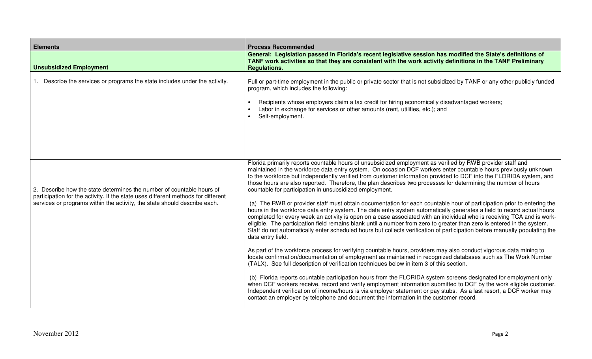| <b>Elements</b>                                                                                                                                                                                                                         | <b>Process Recommended</b>                                                                                                                                                                                                                                                                                                                                                                                                                                                                                                                                                                                                                                                                                                                                                                                                                                                                                                                                                                                                                                                                                                                                                                                                                                                                                                                                                                                                                                                                                                      |
|-----------------------------------------------------------------------------------------------------------------------------------------------------------------------------------------------------------------------------------------|---------------------------------------------------------------------------------------------------------------------------------------------------------------------------------------------------------------------------------------------------------------------------------------------------------------------------------------------------------------------------------------------------------------------------------------------------------------------------------------------------------------------------------------------------------------------------------------------------------------------------------------------------------------------------------------------------------------------------------------------------------------------------------------------------------------------------------------------------------------------------------------------------------------------------------------------------------------------------------------------------------------------------------------------------------------------------------------------------------------------------------------------------------------------------------------------------------------------------------------------------------------------------------------------------------------------------------------------------------------------------------------------------------------------------------------------------------------------------------------------------------------------------------|
| <b>Unsubsidized Employment</b>                                                                                                                                                                                                          | General: Legislation passed in Florida's recent legislative session has modified the State's definitions of<br>TANF work activities so that they are consistent with the work activity definitions in the TANF Preliminary<br><b>Regulations.</b>                                                                                                                                                                                                                                                                                                                                                                                                                                                                                                                                                                                                                                                                                                                                                                                                                                                                                                                                                                                                                                                                                                                                                                                                                                                                               |
| 1. Describe the services or programs the state includes under the activity.                                                                                                                                                             | Full or part-time employment in the public or private sector that is not subsidized by TANF or any other publicly funded<br>program, which includes the following:<br>Recipients whose employers claim a tax credit for hiring economically disadvantaged workers;<br>Labor in exchange for services or other amounts (rent, utilities, etc.); and<br>Self-employment.                                                                                                                                                                                                                                                                                                                                                                                                                                                                                                                                                                                                                                                                                                                                                                                                                                                                                                                                                                                                                                                                                                                                                          |
| 2. Describe how the state determines the number of countable hours of<br>participation for the activity. If the state uses different methods for different<br>services or programs within the activity, the state should describe each. | Florida primarily reports countable hours of unsubsidized employment as verified by RWB provider staff and<br>maintained in the workforce data entry system. On occasion DCF workers enter countable hours previously unknown<br>to the workforce but independently verified from customer information provided to DCF into the FLORIDA system, and<br>those hours are also reported. Therefore, the plan describes two processes for determining the number of hours<br>countable for participation in unsubsidized employment.<br>(a) The RWB or provider staff must obtain documentation for each countable hour of participation prior to entering the<br>hours in the workforce data entry system. The data entry system automatically generates a field to record actual hours<br>completed for every week an activity is open on a case associated with an individual who is receiving TCA and is work-<br>eligible. The participation field remains blank until a number from zero to greater than zero is entered in the system.<br>Staff do not automatically enter scheduled hours but collects verification of participation before manually populating the<br>data entry field.<br>As part of the workforce process for verifying countable hours, providers may also conduct vigorous data mining to<br>locate confirmation/documentation of employment as maintained in recognized databases such as The Work Number<br>(TALX). See full description of verification techniques below in item 3 of this section. |
|                                                                                                                                                                                                                                         | (b) Florida reports countable participation hours from the FLORIDA system screens designated for employment only<br>when DCF workers receive, record and verify employment information submitted to DCF by the work eligible customer.<br>Independent verification of income/hours is via employer statement or pay stubs. As a last resort, a DCF worker may<br>contact an employer by telephone and document the information in the customer record.                                                                                                                                                                                                                                                                                                                                                                                                                                                                                                                                                                                                                                                                                                                                                                                                                                                                                                                                                                                                                                                                          |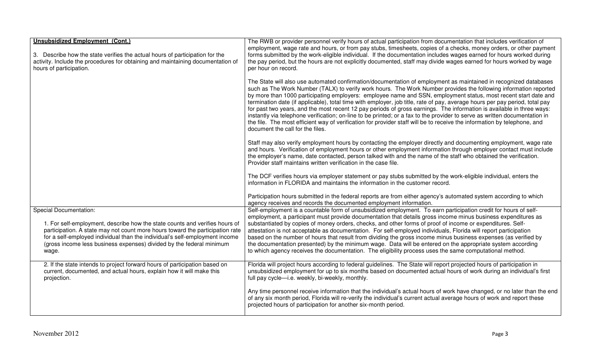| <b>Unsubsidized Employment (Cont.)</b><br>3. Describe how the state verifies the actual hours of participation for the<br>activity. Include the procedures for obtaining and maintaining documentation of<br>hours of participation.                                                                                                                          | The RWB or provider personnel verify hours of actual participation from documentation that includes verification of<br>employment, wage rate and hours, or from pay stubs, timesheets, copies of a checks, money orders, or other payment<br>forms submitted by the work-eligible individual. If the documentation includes wages earned for hours worked during<br>the pay period, but the hours are not explicitly documented, staff may divide wages earned for hours worked by wage<br>per hour on record.                                                                                                                                                                                                                                                                                                                                                                                                |
|---------------------------------------------------------------------------------------------------------------------------------------------------------------------------------------------------------------------------------------------------------------------------------------------------------------------------------------------------------------|---------------------------------------------------------------------------------------------------------------------------------------------------------------------------------------------------------------------------------------------------------------------------------------------------------------------------------------------------------------------------------------------------------------------------------------------------------------------------------------------------------------------------------------------------------------------------------------------------------------------------------------------------------------------------------------------------------------------------------------------------------------------------------------------------------------------------------------------------------------------------------------------------------------|
|                                                                                                                                                                                                                                                                                                                                                               | The State will also use automated confirmation/documentation of employment as maintained in recognized databases<br>such as The Work Number (TALX) to verify work hours. The Work Number provides the following information reported<br>by more than 1000 participating employers: employee name and SSN, employment status, most recent start date and<br>termination date (if applicable), total time with employer, job title, rate of pay, average hours per pay period, total pay<br>for past two years, and the most recent 12 pay periods of gross earnings. The information is available in three ways:<br>instantly via telephone verification; on-line to be printed; or a fax to the provider to serve as written documentation in<br>the file. The most efficient way of verification for provider staff will be to receive the information by telephone, and<br>document the call for the files. |
|                                                                                                                                                                                                                                                                                                                                                               | Staff may also verify employment hours by contacting the employer directly and documenting employment, wage rate<br>and hours. Verification of employment hours or other employment information through employer contact must include<br>the employer's name, date contacted, person talked with and the name of the staff who obtained the verification.<br>Provider staff maintains written verification in the case file.                                                                                                                                                                                                                                                                                                                                                                                                                                                                                  |
|                                                                                                                                                                                                                                                                                                                                                               | The DCF verifies hours via employer statement or pay stubs submitted by the work-eligible individual, enters the<br>information in FLORIDA and maintains the information in the customer record.                                                                                                                                                                                                                                                                                                                                                                                                                                                                                                                                                                                                                                                                                                              |
|                                                                                                                                                                                                                                                                                                                                                               | Participation hours submitted in the federal reports are from either agency's automated system according to which<br>agency receives and records the documented employment information.                                                                                                                                                                                                                                                                                                                                                                                                                                                                                                                                                                                                                                                                                                                       |
| <b>Special Documentation:</b><br>1. For self-employment, describe how the state counts and verifies hours of<br>participation. A state may not count more hours toward the participation rate<br>for a self-employed individual than the individual's self-employment income<br>(gross income less business expenses) divided by the federal minimum<br>wage. | Self-employment is a countable form of unsubsidized employment. To earn participation credit for hours of self-<br>employment, a participant must provide documentation that details gross income minus business expenditures as<br>substantiated by copies of money orders, checks, and other forms of proof of income or expenditures. Self-<br>attestation is not acceptable as documentation. For self-employed individuals, Florida will report participation<br>based on the number of hours that result from dividing the gross income minus business expenses (as verified by<br>the documentation presented) by the minimum wage. Data will be entered on the appropriate system according<br>to which agency receives the documentation. The eligibility process uses the same computational method.                                                                                                |
| 2. If the state intends to project forward hours of participation based on<br>current, documented, and actual hours, explain how it will make this<br>projection.                                                                                                                                                                                             | Florida will project hours according to federal guidelines. The State will report projected hours of participation in<br>unsubsidized employment for up to six months based on documented actual hours of work during an individual's first<br>full pay cycle-i.e. weekly, bi-weekly, monthly.                                                                                                                                                                                                                                                                                                                                                                                                                                                                                                                                                                                                                |
|                                                                                                                                                                                                                                                                                                                                                               | Any time personnel receive information that the individual's actual hours of work have changed, or no later than the end<br>of any six month period, Florida will re-verify the individual's current actual average hours of work and report these<br>projected hours of participation for another six-month period.                                                                                                                                                                                                                                                                                                                                                                                                                                                                                                                                                                                          |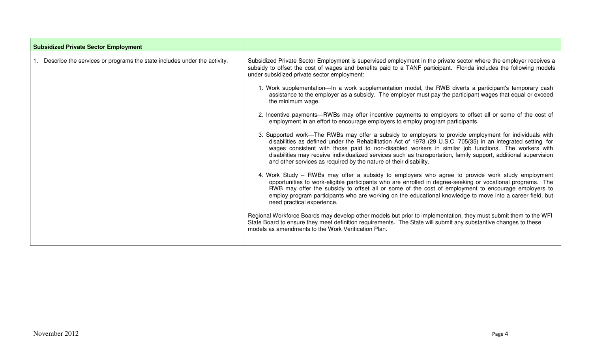| <b>Subsidized Private Sector Employment</b>                                 |                                                                                                                                                                                                                                                                                                                                                                                                                                                                                                                       |
|-----------------------------------------------------------------------------|-----------------------------------------------------------------------------------------------------------------------------------------------------------------------------------------------------------------------------------------------------------------------------------------------------------------------------------------------------------------------------------------------------------------------------------------------------------------------------------------------------------------------|
| 1. Describe the services or programs the state includes under the activity. | Subsidized Private Sector Employment is supervised employment in the private sector where the employer receives a<br>subsidy to offset the cost of wages and benefits paid to a TANF participant. Florida includes the following models<br>under subsidized private sector employment:                                                                                                                                                                                                                                |
|                                                                             | 1. Work supplementation—In a work supplementation model, the RWB diverts a participant's temporary cash<br>assistance to the employer as a subsidy. The employer must pay the participant wages that equal or exceed<br>the minimum wage.                                                                                                                                                                                                                                                                             |
|                                                                             | 2. Incentive payments—RWBs may offer incentive payments to employers to offset all or some of the cost of<br>employment in an effort to encourage employers to employ program participants.                                                                                                                                                                                                                                                                                                                           |
|                                                                             | 3. Supported work—The RWBs may offer a subsidy to employers to provide employment for individuals with<br>disabilities as defined under the Rehabilitation Act of 1973 (29 U.S.C. 705(35) in an integrated setting for<br>wages consistent with those paid to non-disabled workers in similar job functions. The workers with<br>disabilities may receive individualized services such as transportation, family support, additional supervision<br>and other services as required by the nature of their disability. |
|                                                                             | 4. Work Study – RWBs may offer a subsidy to employers who agree to provide work study employment<br>opportunities to work-eligible participants who are enrolled in degree-seeking or vocational programs. The<br>RWB may offer the subsidy to offset all or some of the cost of employment to encourage employers to<br>employ program participants who are working on the educational knowledge to move into a career field, but<br>need practical experience.                                                      |
|                                                                             | Regional Workforce Boards may develop other models but prior to implementation, they must submit them to the WFI<br>State Board to ensure they meet definition requirements. The State will submit any substantive changes to these<br>models as amendments to the Work Verification Plan.                                                                                                                                                                                                                            |

г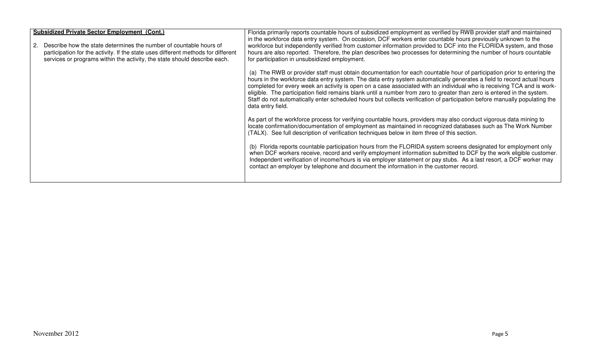| <b>Subsidized Private Sector Employment (Cont.)</b><br>Describe how the state determines the number of countable hours of<br>2.<br>participation for the activity. If the state uses different methods for different<br>services or programs within the activity, the state should describe each. | Florida primarily reports countable hours of subsidized employment as verified by RWB provider staff and maintained<br>in the workforce data entry system. On occasion, DCF workers enter countable hours previously unknown to the<br>workforce but independently verified from customer information provided to DCF into the FLORIDA system, and those<br>hours are also reported. Therefore, the plan describes two processes for determining the number of hours countable<br>for participation in unsubsidized employment.                                                                                                                          |
|---------------------------------------------------------------------------------------------------------------------------------------------------------------------------------------------------------------------------------------------------------------------------------------------------|----------------------------------------------------------------------------------------------------------------------------------------------------------------------------------------------------------------------------------------------------------------------------------------------------------------------------------------------------------------------------------------------------------------------------------------------------------------------------------------------------------------------------------------------------------------------------------------------------------------------------------------------------------|
|                                                                                                                                                                                                                                                                                                   | (a) The RWB or provider staff must obtain documentation for each countable hour of participation prior to entering the<br>hours in the workforce data entry system. The data entry system automatically generates a field to record actual hours<br>completed for every week an activity is open on a case associated with an individual who is receiving TCA and is work-<br>eligible. The participation field remains blank until a number from zero to greater than zero is entered in the system.<br>Staff do not automatically enter scheduled hours but collects verification of participation before manually populating the<br>data entry field. |
|                                                                                                                                                                                                                                                                                                   | As part of the workforce process for verifying countable hours, providers may also conduct vigorous data mining to<br>locate confirmation/documentation of employment as maintained in recognized databases such as The Work Number<br>(TALX). See full description of verification techniques below in item three of this section.                                                                                                                                                                                                                                                                                                                      |
|                                                                                                                                                                                                                                                                                                   | (b) Florida reports countable participation hours from the FLORIDA system screens designated for employment only<br>when DCF workers receive, record and verify employment information submitted to DCF by the work eligible customer.<br>Independent verification of income/hours is via employer statement or pay stubs. As a last resort, a DCF worker may<br>contact an employer by telephone and document the information in the customer record.                                                                                                                                                                                                   |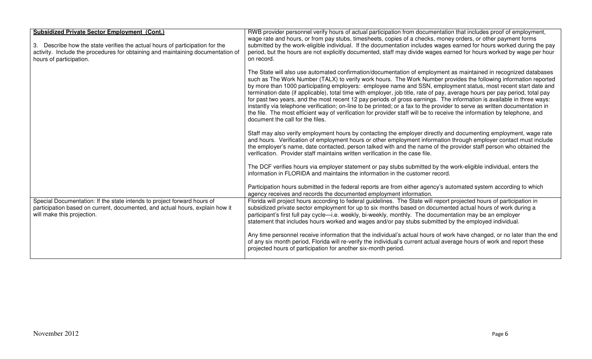| <b>Subsidized Private Sector Employment (Cont.)</b><br>3. Describe how the state verifies the actual hours of participation for the<br>activity. Include the procedures for obtaining and maintaining documentation of<br>hours of participation. | RWB provider personnel verify hours of actual participation from documentation that includes proof of employment,<br>wage rate and hours, or from pay stubs, timesheets, copies of a checks, money orders, or other payment forms<br>submitted by the work-eligible individual. If the documentation includes wages earned for hours worked during the pay<br>period, but the hours are not explicitly documented, staff may divide wages earned for hours worked by wage per hour<br>on record.                                                                                                                                                                                                                                                                                                                                                                                                              |
|---------------------------------------------------------------------------------------------------------------------------------------------------------------------------------------------------------------------------------------------------|---------------------------------------------------------------------------------------------------------------------------------------------------------------------------------------------------------------------------------------------------------------------------------------------------------------------------------------------------------------------------------------------------------------------------------------------------------------------------------------------------------------------------------------------------------------------------------------------------------------------------------------------------------------------------------------------------------------------------------------------------------------------------------------------------------------------------------------------------------------------------------------------------------------|
|                                                                                                                                                                                                                                                   | The State will also use automated confirmation/documentation of employment as maintained in recognized databases<br>such as The Work Number (TALX) to verify work hours. The Work Number provides the following information reported<br>by more than 1000 participating employers: employee name and SSN, employment status, most recent start date and<br>termination date (if applicable), total time with employer, job title, rate of pay, average hours per pay period, total pay<br>for past two years, and the most recent 12 pay periods of gross earnings. The information is available in three ways:<br>instantly via telephone verification; on-line to be printed; or a fax to the provider to serve as written documentation in<br>the file. The most efficient way of verification for provider staff will be to receive the information by telephone, and<br>document the call for the files. |
|                                                                                                                                                                                                                                                   | Staff may also verify employment hours by contacting the employer directly and documenting employment, wage rate<br>and hours. Verification of employment hours or other employment information through employer contact must include<br>the employer's name, date contacted, person talked with and the name of the provider staff person who obtained the<br>verification. Provider staff maintains written verification in the case file.                                                                                                                                                                                                                                                                                                                                                                                                                                                                  |
|                                                                                                                                                                                                                                                   | The DCF verifies hours via employer statement or pay stubs submitted by the work-eligible individual, enters the<br>information in FLORIDA and maintains the information in the customer record.                                                                                                                                                                                                                                                                                                                                                                                                                                                                                                                                                                                                                                                                                                              |
|                                                                                                                                                                                                                                                   | Participation hours submitted in the federal reports are from either agency's automated system according to which<br>agency receives and records the documented employment information.                                                                                                                                                                                                                                                                                                                                                                                                                                                                                                                                                                                                                                                                                                                       |
| Special Documentation: If the state intends to project forward hours of<br>participation based on current, documented, and actual hours, explain how it<br>will make this projection.                                                             | Florida will project hours according to federal guidelines. The State will report projected hours of participation in<br>subsidized private sector employment for up to six months based on documented actual hours of work during a<br>participant's first full pay cycle—i.e. weekly, bi-weekly, monthly. The documentation may be an employer<br>statement that includes hours worked and wages and/or pay stubs submitted by the employed individual.                                                                                                                                                                                                                                                                                                                                                                                                                                                     |
|                                                                                                                                                                                                                                                   | Any time personnel receive information that the individual's actual hours of work have changed, or no later than the end<br>of any six month period, Florida will re-verify the individual's current actual average hours of work and report these<br>projected hours of participation for another six-month period.                                                                                                                                                                                                                                                                                                                                                                                                                                                                                                                                                                                          |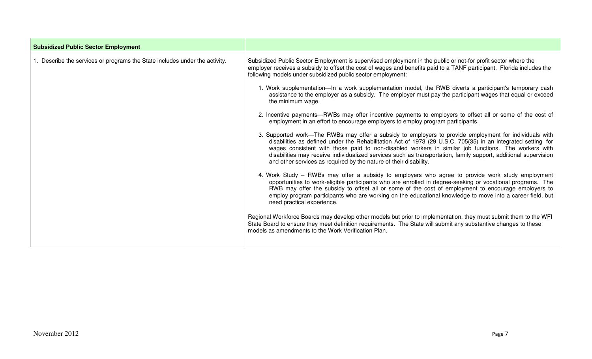| <b>Subsidized Public Sector Employment</b>                                  |                                                                                                                                                                                                                                                                                                                                                                                                                                                                                                                       |
|-----------------------------------------------------------------------------|-----------------------------------------------------------------------------------------------------------------------------------------------------------------------------------------------------------------------------------------------------------------------------------------------------------------------------------------------------------------------------------------------------------------------------------------------------------------------------------------------------------------------|
| 1. Describe the services or programs the State includes under the activity. | Subsidized Public Sector Employment is supervised employment in the public or not-for profit sector where the<br>employer receives a subsidy to offset the cost of wages and benefits paid to a TANF participant. Florida includes the<br>following models under subsidized public sector employment:                                                                                                                                                                                                                 |
|                                                                             | 1. Work supplementation—In a work supplementation model, the RWB diverts a participant's temporary cash<br>assistance to the employer as a subsidy. The employer must pay the participant wages that equal or exceed<br>the minimum wage.                                                                                                                                                                                                                                                                             |
|                                                                             | 2. Incentive payments—RWBs may offer incentive payments to employers to offset all or some of the cost of<br>employment in an effort to encourage employers to employ program participants.                                                                                                                                                                                                                                                                                                                           |
|                                                                             | 3. Supported work—The RWBs may offer a subsidy to employers to provide employment for individuals with<br>disabilities as defined under the Rehabilitation Act of 1973 (29 U.S.C. 705(35) in an integrated setting for<br>wages consistent with those paid to non-disabled workers in similar job functions. The workers with<br>disabilities may receive individualized services such as transportation, family support, additional supervision<br>and other services as required by the nature of their disability. |
|                                                                             | 4. Work Study – RWBs may offer a subsidy to employers who agree to provide work study employment<br>opportunities to work-eligible participants who are enrolled in degree-seeking or vocational programs. The<br>RWB may offer the subsidy to offset all or some of the cost of employment to encourage employers to<br>employ program participants who are working on the educational knowledge to move into a career field, but<br>need practical experience.                                                      |
|                                                                             | Regional Workforce Boards may develop other models but prior to implementation, they must submit them to the WFI<br>State Board to ensure they meet definition requirements. The State will submit any substantive changes to these<br>models as amendments to the Work Verification Plan.                                                                                                                                                                                                                            |

г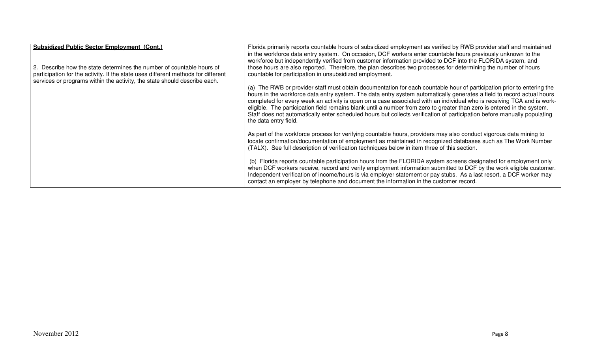| <b>Subsidized Public Sector Employment (Cont.)</b><br>2. Describe how the state determines the number of countable hours of<br>participation for the activity. If the state uses different methods for different<br>services or programs within the activity, the state should describe each. | Florida primarily reports countable hours of subsidized employment as verified by RWB provider staff and maintained<br>in the workforce data entry system. On occasion, DCF workers enter countable hours previously unknown to the<br>workforce but independently verified from customer information provided to DCF into the FLORIDA system, and<br>those hours are also reported. Therefore, the plan describes two processes for determining the number of hours<br>countable for participation in unsubsidized employment.                                                                                                                            |
|-----------------------------------------------------------------------------------------------------------------------------------------------------------------------------------------------------------------------------------------------------------------------------------------------|------------------------------------------------------------------------------------------------------------------------------------------------------------------------------------------------------------------------------------------------------------------------------------------------------------------------------------------------------------------------------------------------------------------------------------------------------------------------------------------------------------------------------------------------------------------------------------------------------------------------------------------------------------|
|                                                                                                                                                                                                                                                                                               | (a) The RWB or provider staff must obtain documentation for each countable hour of participation prior to entering the<br>hours in the workforce data entry system. The data entry system automatically generates a field to record actual hours<br>completed for every week an activity is open on a case associated with an individual who is receiving TCA and is work-<br>eligible. The participation field remains blank until a number from zero to greater than zero is entered in the system.<br>Staff does not automatically enter scheduled hours but collects verification of participation before manually populating<br>the data entry field. |
|                                                                                                                                                                                                                                                                                               | As part of the workforce process for verifying countable hours, providers may also conduct vigorous data mining to<br>locate confirmation/documentation of employment as maintained in recognized databases such as The Work Number<br>(TALX). See full description of verification techniques below in item three of this section.                                                                                                                                                                                                                                                                                                                        |
|                                                                                                                                                                                                                                                                                               | (b) Florida reports countable participation hours from the FLORIDA system screens designated for employment only<br>when DCF workers receive, record and verify employment information submitted to DCF by the work eligible customer.<br>Independent verification of income/hours is via employer statement or pay stubs. As a last resort, a DCF worker may<br>contact an employer by telephone and document the information in the customer record.                                                                                                                                                                                                     |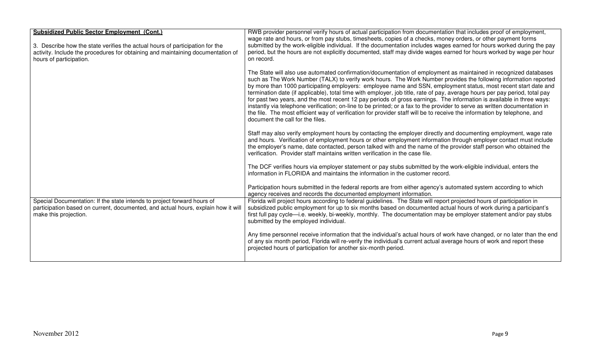| Subsidized Public Sector Employment (Cont.)<br>3. Describe how the state verifies the actual hours of participation for the<br>activity. Include the procedures for obtaining and maintaining documentation of<br>hours of participation. | RWB provider personnel verify hours of actual participation from documentation that includes proof of employment,<br>wage rate and hours, or from pay stubs, timesheets, copies of a checks, money orders, or other payment forms<br>submitted by the work-eligible individual. If the documentation includes wages earned for hours worked during the pay<br>period, but the hours are not explicitly documented, staff may divide wages earned for hours worked by wage per hour<br>on record.                                                                                                                                                                                                                                                                                                                                                                                                              |
|-------------------------------------------------------------------------------------------------------------------------------------------------------------------------------------------------------------------------------------------|---------------------------------------------------------------------------------------------------------------------------------------------------------------------------------------------------------------------------------------------------------------------------------------------------------------------------------------------------------------------------------------------------------------------------------------------------------------------------------------------------------------------------------------------------------------------------------------------------------------------------------------------------------------------------------------------------------------------------------------------------------------------------------------------------------------------------------------------------------------------------------------------------------------|
|                                                                                                                                                                                                                                           | The State will also use automated confirmation/documentation of employment as maintained in recognized databases<br>such as The Work Number (TALX) to verify work hours. The Work Number provides the following information reported<br>by more than 1000 participating employers: employee name and SSN, employment status, most recent start date and<br>termination date (if applicable), total time with employer, job title, rate of pay, average hours per pay period, total pay<br>for past two years, and the most recent 12 pay periods of gross earnings. The information is available in three ways:<br>instantly via telephone verification; on-line to be printed; or a fax to the provider to serve as written documentation in<br>the file. The most efficient way of verification for provider staff will be to receive the information by telephone, and<br>document the call for the files. |
|                                                                                                                                                                                                                                           | Staff may also verify employment hours by contacting the employer directly and documenting employment, wage rate<br>and hours. Verification of employment hours or other employment information through employer contact must include<br>the employer's name, date contacted, person talked with and the name of the provider staff person who obtained the<br>verification. Provider staff maintains written verification in the case file.                                                                                                                                                                                                                                                                                                                                                                                                                                                                  |
|                                                                                                                                                                                                                                           | The DCF verifies hours via employer statement or pay stubs submitted by the work-eligible individual, enters the<br>information in FLORIDA and maintains the information in the customer record.                                                                                                                                                                                                                                                                                                                                                                                                                                                                                                                                                                                                                                                                                                              |
|                                                                                                                                                                                                                                           | Participation hours submitted in the federal reports are from either agency's automated system according to which<br>agency receives and records the documented employment information.                                                                                                                                                                                                                                                                                                                                                                                                                                                                                                                                                                                                                                                                                                                       |
| Special Documentation: If the state intends to project forward hours of<br>participation based on current, documented, and actual hours, explain how it will<br>make this projection.                                                     | Florida will project hours according to federal guidelines. The State will report projected hours of participation in<br>subsidized public employment for up to six months based on documented actual hours of work during a participant's<br>first full pay cycle—i.e. weekly, bi-weekly, monthly. The documentation may be employer statement and/or pay stubs<br>submitted by the employed individual.                                                                                                                                                                                                                                                                                                                                                                                                                                                                                                     |
|                                                                                                                                                                                                                                           | Any time personnel receive information that the individual's actual hours of work have changed, or no later than the end<br>of any six month period, Florida will re-verify the individual's current actual average hours of work and report these<br>projected hours of participation for another six-month period.                                                                                                                                                                                                                                                                                                                                                                                                                                                                                                                                                                                          |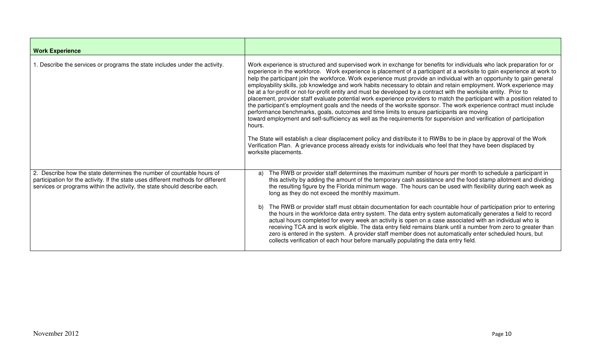| <b>Work Experience</b>                                                                                                                                                                                                                  |                                                                                                                                                                                                                                                                                                                                                                                                                                                                                                                                                                                                                                                                                                                                                                                                                                                                                                                                                                                                                                                                                                                                                                                                                                                                                                                                                                                 |
|-----------------------------------------------------------------------------------------------------------------------------------------------------------------------------------------------------------------------------------------|---------------------------------------------------------------------------------------------------------------------------------------------------------------------------------------------------------------------------------------------------------------------------------------------------------------------------------------------------------------------------------------------------------------------------------------------------------------------------------------------------------------------------------------------------------------------------------------------------------------------------------------------------------------------------------------------------------------------------------------------------------------------------------------------------------------------------------------------------------------------------------------------------------------------------------------------------------------------------------------------------------------------------------------------------------------------------------------------------------------------------------------------------------------------------------------------------------------------------------------------------------------------------------------------------------------------------------------------------------------------------------|
| 1. Describe the services or programs the state includes under the activity.                                                                                                                                                             | Work experience is structured and supervised work in exchange for benefits for individuals who lack preparation for or<br>experience in the workforce. Work experience is placement of a participant at a worksite to gain experience at work to<br>help the participant join the workforce. Work experience must provide an individual with an opportunity to gain general<br>employability skills, job knowledge and work habits necessary to obtain and retain employment. Work experience may<br>be at a for-profit or not-for-profit entity and must be developed by a contract with the worksite entity. Prior to<br>placement, provider staff evaluate potential work experience providers to match the participant with a position related to<br>the participant's employment goals and the needs of the worksite sponsor. The work experience contract must include<br>performance benchmarks, goals, outcomes and time limits to ensure participants are moving<br>toward employment and self-sufficiency as well as the requirements for supervision and verification of participation<br>hours.<br>The State will establish a clear displacement policy and distribute it to RWBs to be in place by approval of the Work<br>Verification Plan. A grievance process already exists for individuals who feel that they have been displaced by<br>worksite placements. |
| 2. Describe how the state determines the number of countable hours of<br>participation for the activity. If the state uses different methods for different<br>services or programs within the activity, the state should describe each. | The RWB or provider staff determines the maximum number of hours per month to schedule a participant in<br>a)<br>this activity by adding the amount of the temporary cash assistance and the food stamp allotment and dividing<br>the resulting figure by the Florida minimum wage. The hours can be used with flexibility during each week as<br>long as they do not exceed the monthly maximum.<br>The RWB or provider staff must obtain documentation for each countable hour of participation prior to entering<br>b)<br>the hours in the workforce data entry system. The data entry system automatically generates a field to record<br>actual hours completed for every week an activity is open on a case associated with an individual who is<br>receiving TCA and is work eligible. The data entry field remains blank until a number from zero to greater than<br>zero is entered in the system. A provider staff member does not automatically enter scheduled hours, but<br>collects verification of each hour before manually populating the data entry field.                                                                                                                                                                                                                                                                                                    |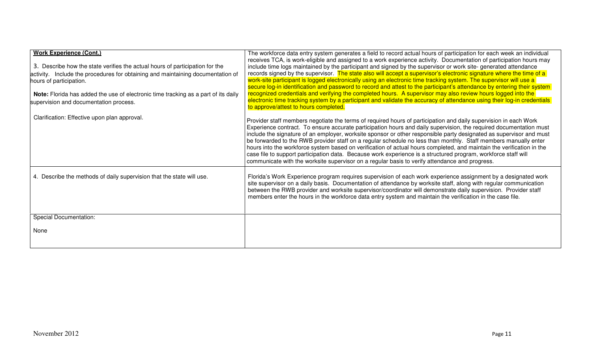| <b>Work Experience (Cont.)</b><br>3. Describe how the state verifies the actual hours of participation for the<br>activity. Include the procedures for obtaining and maintaining documentation of<br>hours of participation.<br>Note: Florida has added the use of electronic time tracking as a part of its daily<br>supervision and documentation process. | The workforce data entry system generates a field to record actual hours of participation for each week an individual<br>receives TCA, is work-eligible and assigned to a work experience activity. Documentation of participation hours may<br>include time logs maintained by the participant and signed by the supervisor or work site-generated attendance<br>records signed by the supervisor. The state also will accept a supervisor's electronic signature where the time of a<br>work-site participant is logged electronically using an electronic time tracking system. The supervisor will use a<br>secure log-in identification and password to record and attest to the participant's attendance by entering their system<br>recognized credentials and verifying the completed hours. A supervisor may also review hours logged into the<br>electronic time tracking system by a participant and validate the accuracy of attendance using their log-in credentials<br>to approve/attest to hours completed. |
|--------------------------------------------------------------------------------------------------------------------------------------------------------------------------------------------------------------------------------------------------------------------------------------------------------------------------------------------------------------|-----------------------------------------------------------------------------------------------------------------------------------------------------------------------------------------------------------------------------------------------------------------------------------------------------------------------------------------------------------------------------------------------------------------------------------------------------------------------------------------------------------------------------------------------------------------------------------------------------------------------------------------------------------------------------------------------------------------------------------------------------------------------------------------------------------------------------------------------------------------------------------------------------------------------------------------------------------------------------------------------------------------------------|
| Clarification: Effective upon plan approval.                                                                                                                                                                                                                                                                                                                 | Provider staff members negotiate the terms of required hours of participation and daily supervision in each Work<br>Experience contract. To ensure accurate participation hours and daily supervision, the required documentation must<br>include the signature of an employer, worksite sponsor or other responsible party designated as supervisor and must<br>be forwarded to the RWB provider staff on a regular schedule no less than monthly. Staff members manually enter<br>hours into the workforce system based on verification of actual hours completed, and maintain the verification in the<br>case file to support participation data. Because work experience is a structured program, workforce staff will<br>communicate with the worksite supervisor on a regular basis to verify attendance and progress.                                                                                                                                                                                               |
| 4. Describe the methods of daily supervision that the state will use.                                                                                                                                                                                                                                                                                        | Florida's Work Experience program requires supervision of each work experience assignment by a designated work<br>site supervisor on a daily basis. Documentation of attendance by worksite staff, along with regular communication<br>between the RWB provider and worksite supervisor/coordinator will demonstrate daily supervision. Provider staff<br>members enter the hours in the workforce data entry system and maintain the verification in the case file.                                                                                                                                                                                                                                                                                                                                                                                                                                                                                                                                                        |
| <b>Special Documentation:</b>                                                                                                                                                                                                                                                                                                                                |                                                                                                                                                                                                                                                                                                                                                                                                                                                                                                                                                                                                                                                                                                                                                                                                                                                                                                                                                                                                                             |
| None                                                                                                                                                                                                                                                                                                                                                         |                                                                                                                                                                                                                                                                                                                                                                                                                                                                                                                                                                                                                                                                                                                                                                                                                                                                                                                                                                                                                             |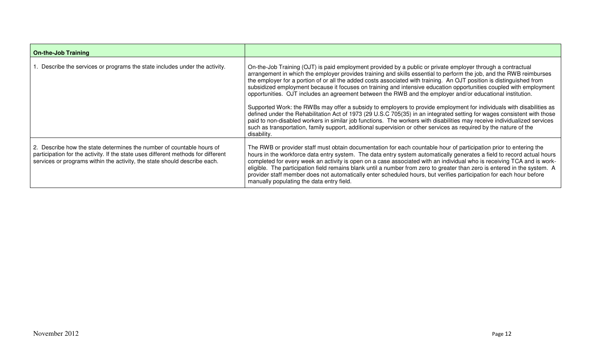| <b>On-the-Job Training</b>                                                                                                                                                                                                              |                                                                                                                                                                                                                                                                                                                                                                                                                                                                                                                                                                                                                                                                                                                                                                                                                                                                                                                                                                                                                                                                                                                  |
|-----------------------------------------------------------------------------------------------------------------------------------------------------------------------------------------------------------------------------------------|------------------------------------------------------------------------------------------------------------------------------------------------------------------------------------------------------------------------------------------------------------------------------------------------------------------------------------------------------------------------------------------------------------------------------------------------------------------------------------------------------------------------------------------------------------------------------------------------------------------------------------------------------------------------------------------------------------------------------------------------------------------------------------------------------------------------------------------------------------------------------------------------------------------------------------------------------------------------------------------------------------------------------------------------------------------------------------------------------------------|
| Describe the services or programs the state includes under the activity.                                                                                                                                                                | On-the-Job Training (OJT) is paid employment provided by a public or private employer through a contractual<br>arrangement in which the employer provides training and skills essential to perform the job, and the RWB reimburses<br>the employer for a portion of or all the added costs associated with training. An OJT position is distinguished from<br>subsidized employment because it focuses on training and intensive education opportunities coupled with employment<br>opportunities. OJT includes an agreement between the RWB and the employer and/or educational institution.<br>Supported Work: the RWBs may offer a subsidy to employers to provide employment for individuals with disabilities as<br>defined under the Rehabilitation Act of 1973 (29 U.S.C 705(35) in an integrated setting for wages consistent with those<br>paid to non-disabled workers in similar job functions. The workers with disabilities may receive individualized services<br>such as transportation, family support, additional supervision or other services as required by the nature of the<br>disability. |
| 2. Describe how the state determines the number of countable hours of<br>participation for the activity. If the state uses different methods for different<br>services or programs within the activity, the state should describe each. | The RWB or provider staff must obtain documentation for each countable hour of participation prior to entering the<br>hours in the workforce data entry system. The data entry system automatically generates a field to record actual hours<br>completed for every week an activity is open on a case associated with an individual who is receiving TCA and is work-<br>eligible. The participation field remains blank until a number from zero to greater than zero is entered in the system. A<br>provider staff member does not automatically enter scheduled hours, but verifies participation for each hour before<br>manually populating the data entry field.                                                                                                                                                                                                                                                                                                                                                                                                                                          |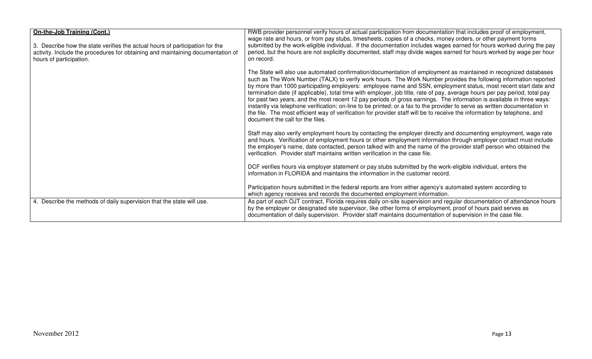| On-the-Job Training (Cont.)                                                     | RWB provider personnel verify hours of actual participation from documentation that includes proof of employment,                                                                                                           |
|---------------------------------------------------------------------------------|-----------------------------------------------------------------------------------------------------------------------------------------------------------------------------------------------------------------------------|
|                                                                                 | wage rate and hours, or from pay stubs, timesheets, copies of a checks, money orders, or other payment forms                                                                                                                |
| 3. Describe how the state verifies the actual hours of participation for the    | submitted by the work-eligible individual. If the documentation includes wages earned for hours worked during the pay                                                                                                       |
| activity. Include the procedures for obtaining and maintaining documentation of | period, but the hours are not explicitly documented, staff may divide wages earned for hours worked by wage per hour                                                                                                        |
| hours of participation.                                                         | on record.                                                                                                                                                                                                                  |
|                                                                                 |                                                                                                                                                                                                                             |
|                                                                                 | The State will also use automated confirmation/documentation of employment as maintained in recognized databases                                                                                                            |
|                                                                                 | such as The Work Number (TALX) to verify work hours. The Work Number provides the following information reported                                                                                                            |
|                                                                                 | by more than 1000 participating employers: employee name and SSN, employment status, most recent start date and                                                                                                             |
|                                                                                 | termination date (if applicable), total time with employer, job title, rate of pay, average hours per pay period, total pay                                                                                                 |
|                                                                                 | for past two years, and the most recent 12 pay periods of gross earnings. The information is available in three ways:                                                                                                       |
|                                                                                 | instantly via telephone verification; on-line to be printed; or a fax to the provider to serve as written documentation in                                                                                                  |
|                                                                                 | the file. The most efficient way of verification for provider staff will be to receive the information by telephone, and<br>document the call for the files.                                                                |
|                                                                                 |                                                                                                                                                                                                                             |
|                                                                                 | Staff may also verify employment hours by contacting the employer directly and documenting employment, wage rate                                                                                                            |
|                                                                                 | and hours. Verification of employment hours or other employment information through employer contact must include                                                                                                           |
|                                                                                 | the employer's name, date contacted, person talked with and the name of the provider staff person who obtained the                                                                                                          |
|                                                                                 | verification. Provider staff maintains written verification in the case file.                                                                                                                                               |
|                                                                                 |                                                                                                                                                                                                                             |
|                                                                                 | DCF verifies hours via employer statement or pay stubs submitted by the work-eligible individual, enters the                                                                                                                |
|                                                                                 | information in FLORIDA and maintains the information in the customer record.                                                                                                                                                |
|                                                                                 |                                                                                                                                                                                                                             |
|                                                                                 | Participation hours submitted in the federal reports are from either agency's automated system according to                                                                                                                 |
|                                                                                 | which agency receives and records the documented employment information.                                                                                                                                                    |
| 4. Describe the methods of daily supervision that the state will use.           | As part of each OJT contract, Florida requires daily on-site supervision and regular documentation of attendance hours                                                                                                      |
|                                                                                 | by the employer or designated site supervisor, like other forms of employment, proof of hours paid serves as<br>documentation of daily supervision. Provider staff maintains documentation of supervision in the case file. |
|                                                                                 |                                                                                                                                                                                                                             |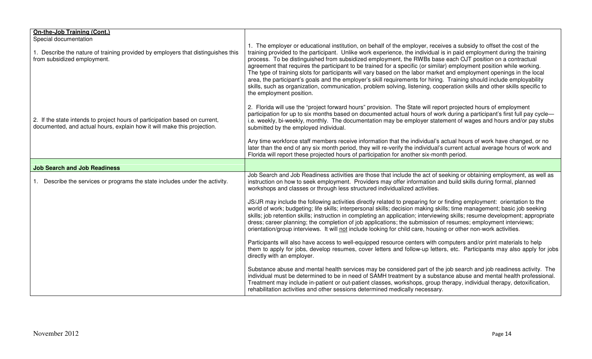| On-the-Job Training (Cont.)<br>Special documentation                                                                                                   |                                                                                                                                                                                                                                                                                                                                                                                                                                                                                                                                                                                                                                                                                                                                                                                                                                                                                             |
|--------------------------------------------------------------------------------------------------------------------------------------------------------|---------------------------------------------------------------------------------------------------------------------------------------------------------------------------------------------------------------------------------------------------------------------------------------------------------------------------------------------------------------------------------------------------------------------------------------------------------------------------------------------------------------------------------------------------------------------------------------------------------------------------------------------------------------------------------------------------------------------------------------------------------------------------------------------------------------------------------------------------------------------------------------------|
| 1. Describe the nature of training provided by employers that distinguishes this<br>from subsidized employment.                                        | 1. The employer or educational institution, on behalf of the employer, receives a subsidy to offset the cost of the<br>training provided to the participant. Unlike work experience, the individual is in paid employment during the training<br>process. To be distinguished from subsidized employment, the RWBs base each OJT position on a contractual<br>agreement that requires the participant to be trained for a specific (or similar) employment position while working.<br>The type of training slots for participants will vary based on the labor market and employment openings in the local<br>area, the participant's goals and the employer's skill requirements for hiring. Training should include employability<br>skills, such as organization, communication, problem solving, listening, cooperation skills and other skills specific to<br>the employment position. |
| 2. If the state intends to project hours of participation based on current,<br>documented, and actual hours, explain how it will make this projection. | 2. Florida will use the "project forward hours" provision. The State will report projected hours of employment<br>participation for up to six months based on documented actual hours of work during a participant's first full pay cycle—<br>i.e. weekly, bi-weekly, monthly. The documentation may be employer statement of wages and hours and/or pay stubs<br>submitted by the employed individual.                                                                                                                                                                                                                                                                                                                                                                                                                                                                                     |
|                                                                                                                                                        | Any time workforce staff members receive information that the individual's actual hours of work have changed, or no<br>later than the end of any six month period, they will re-verify the individual's current actual average hours of work and<br>Florida will report these projected hours of participation for another six-month period.                                                                                                                                                                                                                                                                                                                                                                                                                                                                                                                                                |
| <b>Job Search and Job Readiness</b>                                                                                                                    |                                                                                                                                                                                                                                                                                                                                                                                                                                                                                                                                                                                                                                                                                                                                                                                                                                                                                             |
| 1. Describe the services or programs the state includes under the activity.                                                                            | Job Search and Job Readiness activities are those that include the act of seeking or obtaining employment, as well as<br>instruction on how to seek employment. Providers may offer information and build skills during formal, planned<br>workshops and classes or through less structured individualized activities.                                                                                                                                                                                                                                                                                                                                                                                                                                                                                                                                                                      |
|                                                                                                                                                        | JS/JR may include the following activities directly related to preparing for or finding employment: orientation to the<br>world of work; budgeting; life skills; interpersonal skills; decision making skills; time management; basic job seeking<br>skills; job retention skills; instruction in completing an application; interviewing skills; resume development; appropriate<br>dress; career planning; the completion of job applications; the submission of resumes; employment interviews;<br>orientation/group interviews. It will not include looking for child care, housing or other non-work activities.                                                                                                                                                                                                                                                                       |
|                                                                                                                                                        | Participants will also have access to well-equipped resource centers with computers and/or print materials to help<br>them to apply for jobs, develop resumes, cover letters and follow-up letters, etc. Participants may also apply for jobs<br>directly with an employer.                                                                                                                                                                                                                                                                                                                                                                                                                                                                                                                                                                                                                 |
|                                                                                                                                                        | Substance abuse and mental health services may be considered part of the job search and job readiness activity. The<br>individual must be determined to be in need of SAMH treatment by a substance abuse and mental health professional.<br>Treatment may include in-patient or out-patient classes, workshops, group therapy, individual therapy, detoxification,<br>rehabilitation activities and other sessions determined medically necessary.                                                                                                                                                                                                                                                                                                                                                                                                                                         |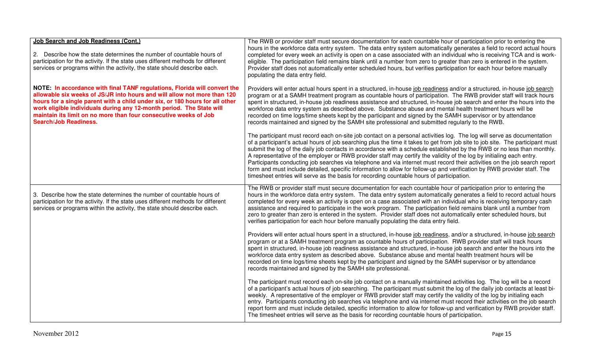| Job Search and Job Readiness (Cont.)<br>2. Describe how the state determines the number of countable hours of<br>participation for the activity. If the state uses different methods for different<br>services or programs within the activity, the state should describe each.                                                                                                                                   | The RWB or provider staff must secure documentation for each countable hour of participation prior to entering the<br>hours in the workforce data entry system. The data entry system automatically generates a field to record actual hours<br>completed for every week an activity is open on a case associated with an individual who is receiving TCA and is work-<br>eligible. The participation field remains blank until a number from zero to greater than zero is entered in the system.<br>Provider staff does not automatically enter scheduled hours, but verifies participation for each hour before manually<br>populating the data entry field.                                                                                                                                                                                                  |
|-------------------------------------------------------------------------------------------------------------------------------------------------------------------------------------------------------------------------------------------------------------------------------------------------------------------------------------------------------------------------------------------------------------------|-----------------------------------------------------------------------------------------------------------------------------------------------------------------------------------------------------------------------------------------------------------------------------------------------------------------------------------------------------------------------------------------------------------------------------------------------------------------------------------------------------------------------------------------------------------------------------------------------------------------------------------------------------------------------------------------------------------------------------------------------------------------------------------------------------------------------------------------------------------------|
| NOTE: In accordance with final TANF regulations, Florida will convert the<br>allowable six weeks of JS/JR into hours and will allow not more than 120<br>hours for a single parent with a child under six, or 180 hours for all other<br>work eligible individuals during any 12-month period. The State will<br>maintain its limit on no more than four consecutive weeks of Job<br><b>Search/Job Readiness.</b> | Providers will enter actual hours spent in a structured, in-house job readiness and/or a structured, in-house job search<br>program or at a SAMH treatment program as countable hours of participation. The RWB provider staff will track hours<br>spent in structured, in-house job readiness assistance and structured, in-house job search and enter the hours into the<br>workforce data entry system as described above. Substance abuse and mental health treatment hours will be<br>recorded on time logs/time sheets kept by the participant and signed by the SAMH supervisor or by attendance<br>records maintained and signed by the SAMH site professional and submitted regularly to the RWB.                                                                                                                                                      |
|                                                                                                                                                                                                                                                                                                                                                                                                                   | The participant must record each on-site job contact on a personal activities log. The log will serve as documentation<br>of a participant's actual hours of job searching plus the time it takes to get from job site to job site. The participant must<br>submit the log of the daily job contacts in accordance with a schedule established by the RWB or no less than monthly.<br>A representative of the employer or RWB provider staff may certify the validity of the log by initialing each entry.<br>Participants conducting job searches via telephone and via internet must record their activities on the job search report<br>form and must include detailed, specific information to allow for follow-up and verification by RWB provider staff. The<br>timesheet entries will serve as the basis for recording countable hours of participation. |
| 3. Describe how the state determines the number of countable hours of<br>participation for the activity. If the state uses different methods for different<br>services or programs within the activity, the state should describe each.                                                                                                                                                                           | The RWB or provider staff must secure documentation for each countable hour of participation prior to entering the<br>hours in the workforce data entry system. The data entry system automatically generates a field to record actual hours<br>completed for every week an activity is open on a case associated with an individual who is receiving temporary cash<br>assistance and required to participate in the work program. The participation field remains blank until a number from<br>zero to greater than zero is entered in the system. Provider staff does not automatically enter scheduled hours, but<br>verifies participation for each hour before manually populating the data entry field.                                                                                                                                                  |
|                                                                                                                                                                                                                                                                                                                                                                                                                   | Providers will enter actual hours spent in a structured, in-house job readiness, and/or a structured, in-house job search<br>program or at a SAMH treatment program as countable hours of participation. RWB provider staff will track hours<br>spent in structured, in-house job readiness assistance and structured, in-house job search and enter the hours into the<br>workforce data entry system as described above. Substance abuse and mental health treatment hours will be<br>recorded on time logs/time sheets kept by the participant and signed by the SAMH supervisor or by attendance<br>records maintained and signed by the SAMH site professional.                                                                                                                                                                                            |
|                                                                                                                                                                                                                                                                                                                                                                                                                   | The participant must record each on-site job contact on a manually maintained activities log. The log will be a record<br>of a participant's actual hours of job searching. The participant must submit the log of the daily job contacts at least bi-<br>weekly. A representative of the employer or RWB provider staff may certify the validity of the log by initialing each<br>entry. Participants conducting job searches via telephone and via internet must record their activities on the job search<br>report form and must include detailed, specific information to allow for follow-up and verification by RWB provider staff.<br>The timesheet entries will serve as the basis for recording countable hours of participation.                                                                                                                     |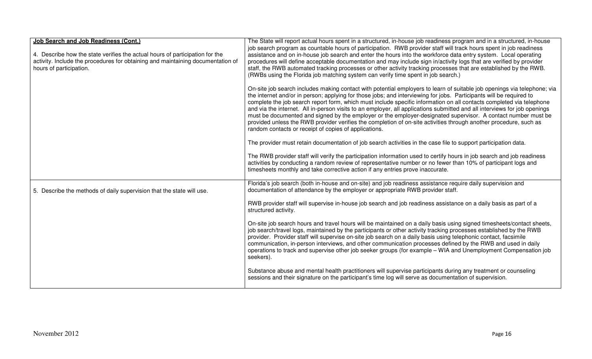| <b>Job Search and Job Readiness (Cont.)</b><br>4. Describe how the state verifies the actual hours of participation for the<br>activity. Include the procedures for obtaining and maintaining documentation of<br>hours of participation. | The State will report actual hours spent in a structured, in-house job readiness program and in a structured, in-house<br>job search program as countable hours of participation. RWB provider staff will track hours spent in job readiness<br>assistance and on in-house job search and enter the hours into the workforce data entry system. Local operating<br>procedures will define acceptable documentation and may include sign in/activity logs that are verified by provider<br>staff, the RWB automated tracking processes or other activity tracking processes that are established by the RWB.<br>(RWBs using the Florida job matching system can verify time spent in job search.)                                                                                                    |
|-------------------------------------------------------------------------------------------------------------------------------------------------------------------------------------------------------------------------------------------|-----------------------------------------------------------------------------------------------------------------------------------------------------------------------------------------------------------------------------------------------------------------------------------------------------------------------------------------------------------------------------------------------------------------------------------------------------------------------------------------------------------------------------------------------------------------------------------------------------------------------------------------------------------------------------------------------------------------------------------------------------------------------------------------------------|
|                                                                                                                                                                                                                                           | On-site job search includes making contact with potential employers to learn of suitable job openings via telephone; via<br>the internet and/or in person; applying for those jobs; and interviewing for jobs. Participants will be required to<br>complete the job search report form, which must include specific information on all contacts completed via telephone<br>and via the internet. All in-person visits to an employer, all applications submitted and all interviews for job openings<br>must be documented and signed by the employer or the employer-designated supervisor. A contact number must be<br>provided unless the RWB provider verifies the completion of on-site activities through another procedure, such as<br>random contacts or receipt of copies of applications. |
|                                                                                                                                                                                                                                           | The provider must retain documentation of job search activities in the case file to support participation data.                                                                                                                                                                                                                                                                                                                                                                                                                                                                                                                                                                                                                                                                                     |
|                                                                                                                                                                                                                                           | The RWB provider staff will verify the participation information used to certify hours in job search and job readiness<br>activities by conducting a random review of representative number or no fewer than 10% of participant logs and<br>timesheets monthly and take corrective action if any entries prove inaccurate.                                                                                                                                                                                                                                                                                                                                                                                                                                                                          |
| 5. Describe the methods of daily supervision that the state will use.                                                                                                                                                                     | Florida's job search (both in-house and on-site) and job readiness assistance require daily supervision and<br>documentation of attendance by the employer or appropriate RWB provider staff.                                                                                                                                                                                                                                                                                                                                                                                                                                                                                                                                                                                                       |
|                                                                                                                                                                                                                                           | RWB provider staff will supervise in-house job search and job readiness assistance on a daily basis as part of a<br>structured activity.                                                                                                                                                                                                                                                                                                                                                                                                                                                                                                                                                                                                                                                            |
|                                                                                                                                                                                                                                           | On-site job search hours and travel hours will be maintained on a daily basis using signed timesheets/contact sheets,<br>job search/travel logs, maintained by the participants or other activity tracking processes established by the RWB<br>provider. Provider staff will supervise on-site job search on a daily basis using telephonic contact, facsimile<br>communication, in-person interviews, and other communication processes defined by the RWB and used in daily<br>operations to track and supervise other job seeker groups (for example – WIA and Unemployment Compensation job<br>seekers).                                                                                                                                                                                        |
|                                                                                                                                                                                                                                           | Substance abuse and mental health practitioners will supervise participants during any treatment or counseling<br>sessions and their signature on the participant's time log will serve as documentation of supervision.                                                                                                                                                                                                                                                                                                                                                                                                                                                                                                                                                                            |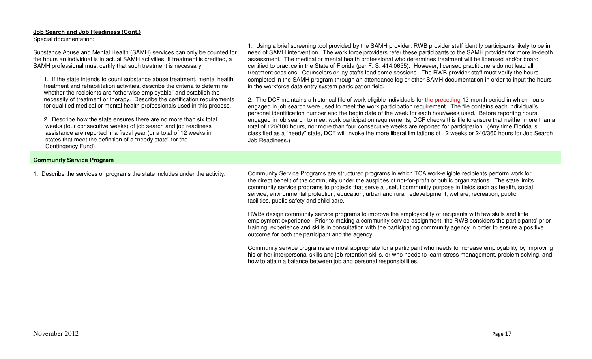| Job Search and Job Readiness (Cont.)<br>Special documentation:<br>Substance Abuse and Mental Health (SAMH) services can only be counted for<br>the hours an individual is in actual SAMH activities. If treatment is credited, a<br>SAMH professional must certify that such treatment is necessary.<br>1. If the state intends to count substance abuse treatment, mental health<br>treatment and rehabilitation activities, describe the criteria to determine<br>whether the recipients are "otherwise employable" and establish the<br>necessity of treatment or therapy. Describe the certification requirements<br>for qualified medical or mental health professionals used in this process.<br>2. Describe how the state ensures there are no more than six total<br>weeks (four consecutive weeks) of job search and job readiness<br>assistance are reported in a fiscal year (or a total of 12 weeks in<br>states that meet the definition of a "needy state" for the<br>Contingency Fund). | 1. Using a brief screening tool provided by the SAMH provider, RWB provider staff identify participants likely to be in<br>need of SAMH intervention. The work force providers refer these participants to the SAMH provider for more in-depth<br>assessment. The medical or mental health professional who determines treatment will be licensed and/or board<br>certified to practice in the State of Florida (per F. S. 414.0655). However, licensed practitioners do not lead all<br>treatment sessions. Counselors or lay staffs lead some sessions. The RWB provider staff must verify the hours<br>completed in the SAMH program through an attendance log or other SAMH documentation in order to input the hours<br>in the workforce data entry system participation field.<br>2. The DCF maintains a historical file of work eligible individuals for the preceding 12-month period in which hours<br>engaged in job search were used to meet the work participation requirement. The file contains each individual's<br>personal identification number and the begin date of the week for each hour/week used. Before reporting hours<br>engaged in job search to meet work participation requirements, DCF checks this file to ensure that neither more than a<br>total of 120/180 hours, nor more than four consecutive weeks are reported for participation. (Any time Florida is<br>classified as a "needy" state, DCF will invoke the more liberal limitations of 12 weeks or 240/360 hours for Job Search<br>Job Readiness.) |
|--------------------------------------------------------------------------------------------------------------------------------------------------------------------------------------------------------------------------------------------------------------------------------------------------------------------------------------------------------------------------------------------------------------------------------------------------------------------------------------------------------------------------------------------------------------------------------------------------------------------------------------------------------------------------------------------------------------------------------------------------------------------------------------------------------------------------------------------------------------------------------------------------------------------------------------------------------------------------------------------------------|-----------------------------------------------------------------------------------------------------------------------------------------------------------------------------------------------------------------------------------------------------------------------------------------------------------------------------------------------------------------------------------------------------------------------------------------------------------------------------------------------------------------------------------------------------------------------------------------------------------------------------------------------------------------------------------------------------------------------------------------------------------------------------------------------------------------------------------------------------------------------------------------------------------------------------------------------------------------------------------------------------------------------------------------------------------------------------------------------------------------------------------------------------------------------------------------------------------------------------------------------------------------------------------------------------------------------------------------------------------------------------------------------------------------------------------------------------------------------------------------------------------------------------------------------|
| <b>Community Service Program</b>                                                                                                                                                                                                                                                                                                                                                                                                                                                                                                                                                                                                                                                                                                                                                                                                                                                                                                                                                                       |                                                                                                                                                                                                                                                                                                                                                                                                                                                                                                                                                                                                                                                                                                                                                                                                                                                                                                                                                                                                                                                                                                                                                                                                                                                                                                                                                                                                                                                                                                                                               |
| 1. Describe the services or programs the state includes under the activity.                                                                                                                                                                                                                                                                                                                                                                                                                                                                                                                                                                                                                                                                                                                                                                                                                                                                                                                            | Community Service Programs are structured programs in which TCA work-eligible recipients perform work for<br>the direct benefit of the community under the auspices of not-for-profit or public organizations. The state limits<br>community service programs to projects that serve a useful community purpose in fields such as health, social<br>service, environmental protection, education, urban and rural redevelopment, welfare, recreation, public<br>facilities, public safety and child care.<br>RWBs design community service programs to improve the employability of recipients with few skills and little<br>employment experience. Prior to making a community service assignment, the RWB considers the participants' prior<br>training, experience and skills in consultation with the participating community agency in order to ensure a positive<br>outcome for both the participant and the agency.<br>Community service programs are most appropriate for a participant who needs to increase employability by improving<br>his or her interpersonal skills and job retention skills, or who needs to learn stress management, problem solving, and<br>how to attain a balance between job and personal responsibilities.                                                                                                                                                                                                                                                                                             |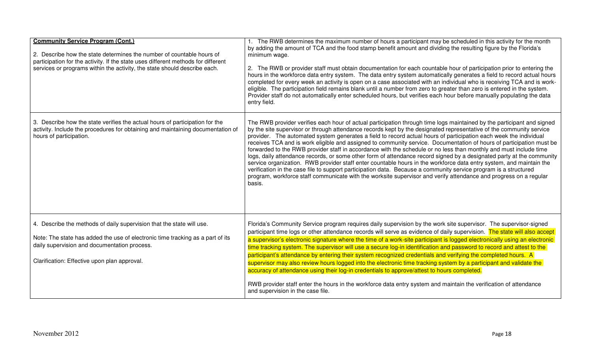| <b>Community Service Program (Cont.)</b><br>2. Describe how the state determines the number of countable hours of<br>participation for the activity. If the state uses different methods for different<br>services or programs within the activity, the state should describe each. | 1. The RWB determines the maximum number of hours a participant may be scheduled in this activity for the month<br>by adding the amount of TCA and the food stamp benefit amount and dividing the resulting figure by the Florida's<br>minimum wage.<br>2. The RWB or provider staff must obtain documentation for each countable hour of participation prior to entering the<br>hours in the workforce data entry system. The data entry system automatically generates a field to record actual hours<br>completed for every week an activity is open on a case associated with an individual who is receiving TCA and is work-<br>eligible. The participation field remains blank until a number from zero to greater than zero is entered in the system.<br>Provider staff do not automatically enter scheduled hours, but verifies each hour before manually populating the data<br>entry field.                                                                                                                                                                                                              |
|-------------------------------------------------------------------------------------------------------------------------------------------------------------------------------------------------------------------------------------------------------------------------------------|--------------------------------------------------------------------------------------------------------------------------------------------------------------------------------------------------------------------------------------------------------------------------------------------------------------------------------------------------------------------------------------------------------------------------------------------------------------------------------------------------------------------------------------------------------------------------------------------------------------------------------------------------------------------------------------------------------------------------------------------------------------------------------------------------------------------------------------------------------------------------------------------------------------------------------------------------------------------------------------------------------------------------------------------------------------------------------------------------------------------|
| 3. Describe how the state verifies the actual hours of participation for the<br>activity. Include the procedures for obtaining and maintaining documentation of<br>hours of participation.                                                                                          | The RWB provider verifies each hour of actual participation through time logs maintained by the participant and signed<br>by the site supervisor or through attendance records kept by the designated representative of the community service<br>provider. The automated system generates a field to record actual hours of participation each week the individual<br>receives TCA and is work eligible and assigned to community service. Documentation of hours of participation must be<br>forwarded to the RWB provider staff in accordance with the schedule or no less than monthly and must include time<br>logs, daily attendance records, or some other form of attendance record signed by a designated party at the community<br>service organization. RWB provider staff enter countable hours in the workforce data entry system, and maintain the<br>verification in the case file to support participation data. Because a community service program is a structured<br>program, workforce staff communicate with the worksite supervisor and verify attendance and progress on a regular<br>basis. |
| 4. Describe the methods of daily supervision that the state will use.<br>Note: The state has added the use of electronic time tracking as a part of its<br>daily supervision and documentation process.<br>Clarification: Effective upon plan approval.                             | Florida's Community Service program requires daily supervision by the work site supervisor. The supervisor-signed<br>participant time logs or other attendance records will serve as evidence of daily supervision. The state will also accept<br>a supervisor's electronic signature where the time of a work-site participant is logged electronically using an electronic<br>time tracking system. The supervisor will use a secure log-in identification and password to record and attest to the<br>participant's attendance by entering their system recognized credentials and verifying the completed hours. A<br>supervisor may also review hours logged into the electronic time tracking system by a participant and validate the<br>accuracy of attendance using their log-in credentials to approve/attest to hours completed.<br>RWB provider staff enter the hours in the workforce data entry system and maintain the verification of attendance<br>and supervision in the case file.                                                                                                              |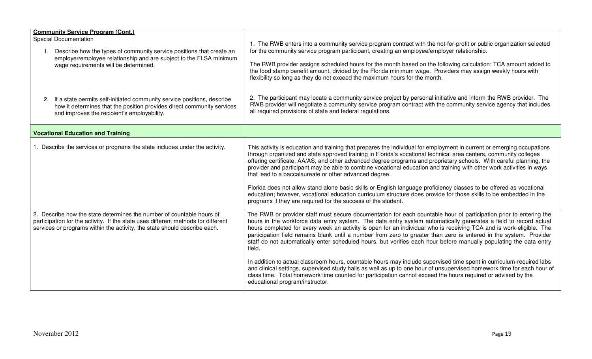| <b>Community Service Program (Cont.)</b><br><b>Special Documentation</b><br>Describe how the types of community service positions that create an<br>$\mathbf{1}$ .<br>employer/employee relationship and are subject to the FLSA minimum<br>wage requirements will be determined.<br>If a state permits self-initiated community service positions, describe<br>2.<br>how it determines that the position provides direct community services<br>and improves the recipient's employability. | 1. The RWB enters into a community service program contract with the not-for-profit or public organization selected<br>for the community service program participant, creating an employee/employer relationship.<br>The RWB provider assigns scheduled hours for the month based on the following calculation: TCA amount added to<br>the food stamp benefit amount, divided by the Florida minimum wage. Providers may assign weekly hours with<br>flexibility so long as they do not exceed the maximum hours for the month.<br>2. The participant may locate a community service project by personal initiative and inform the RWB provider. The<br>RWB provider will negotiate a community service program contract with the community service agency that includes<br>all required provisions of state and federal regulations.                                                                                                                                                                                    |
|---------------------------------------------------------------------------------------------------------------------------------------------------------------------------------------------------------------------------------------------------------------------------------------------------------------------------------------------------------------------------------------------------------------------------------------------------------------------------------------------|--------------------------------------------------------------------------------------------------------------------------------------------------------------------------------------------------------------------------------------------------------------------------------------------------------------------------------------------------------------------------------------------------------------------------------------------------------------------------------------------------------------------------------------------------------------------------------------------------------------------------------------------------------------------------------------------------------------------------------------------------------------------------------------------------------------------------------------------------------------------------------------------------------------------------------------------------------------------------------------------------------------------------|
| <b>Vocational Education and Training</b>                                                                                                                                                                                                                                                                                                                                                                                                                                                    |                                                                                                                                                                                                                                                                                                                                                                                                                                                                                                                                                                                                                                                                                                                                                                                                                                                                                                                                                                                                                          |
| Describe the services or programs the state includes under the activity.                                                                                                                                                                                                                                                                                                                                                                                                                    | This activity is education and training that prepares the individual for employment in current or emerging occupations<br>through organized and state approved training in Florida's vocational technical area centers, community colleges<br>offering certificate, AA/AS, and other advanced degree programs and proprietary schools. With careful planning, the<br>provider and participant may be able to combine vocational education and training with other work activities in ways<br>that lead to a baccalaureate or other advanced degree.<br>Florida does not allow stand alone basic skills or English language proficiency classes to be offered as vocational<br>education; however, vocational education curriculum structure does provide for those skills to be embedded in the<br>programs if they are required for the success of the student.                                                                                                                                                         |
| 2. Describe how the state determines the number of countable hours of<br>participation for the activity. If the state uses different methods for different<br>services or programs within the activity, the state should describe each.                                                                                                                                                                                                                                                     | The RWB or provider staff must secure documentation for each countable hour of participation prior to entering the<br>hours in the workforce data entry system. The data entry system automatically generates a field to record actual<br>hours completed for every week an activity is open for an individual who is receiving TCA and is work-eligible. The<br>participation field remains blank until a number from zero to greater than zero is entered in the system. Provider<br>staff do not automatically enter scheduled hours, but verifies each hour before manually populating the data entry<br>field.<br>In addition to actual classroom hours, countable hours may include supervised time spent in curriculum-required labs<br>and clinical settings, supervised study halls as well as up to one hour of unsupervised homework time for each hour of<br>class time. Total homework time counted for participation cannot exceed the hours required or advised by the<br>educational program/instructor. |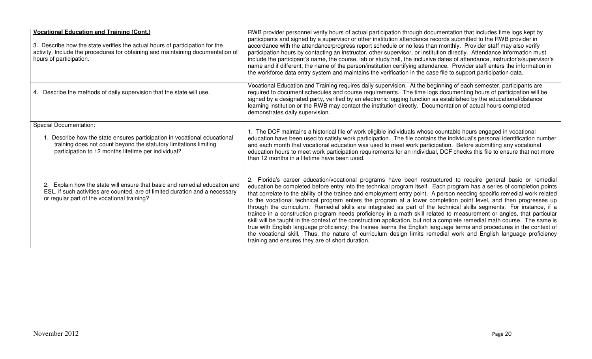| <b>Vocational Education and Training (Cont.)</b><br>3. Describe how the state verifies the actual hours of participation for the<br>activity. Include the procedures for obtaining and maintaining documentation of<br>hours of participation. | RWB provider personnel verify hours of actual participation through documentation that includes time logs kept by<br>participants and signed by a supervisor or other institution attendance records submitted to the RWB provider in<br>accordance with the attendance/progress report schedule or no less than monthly. Provider staff may also verify<br>participation hours by contacting an instructor, other supervisor, or institution directly. Attendance information must<br>include the participant's name, the course, lab or study hall, the inclusive dates of attendance, instructor's/supervisor's<br>name and if different, the name of the person/institution certifying attendance. Provider staff enters the information in<br>the workforce data entry system and maintains the verification in the case file to support participation data.                                                                                                                                                                                                                                                                                                      |
|------------------------------------------------------------------------------------------------------------------------------------------------------------------------------------------------------------------------------------------------|------------------------------------------------------------------------------------------------------------------------------------------------------------------------------------------------------------------------------------------------------------------------------------------------------------------------------------------------------------------------------------------------------------------------------------------------------------------------------------------------------------------------------------------------------------------------------------------------------------------------------------------------------------------------------------------------------------------------------------------------------------------------------------------------------------------------------------------------------------------------------------------------------------------------------------------------------------------------------------------------------------------------------------------------------------------------------------------------------------------------------------------------------------------------|
| Describe the methods of daily supervision that the state will use.<br>4.                                                                                                                                                                       | Vocational Education and Training requires daily supervision. At the beginning of each semester, participants are<br>required to document schedules and course requirements. The time logs documenting hours of participation will be<br>signed by a designated party, verified by an electronic logging function as established by the educational/distance<br>learning institution or the RWB may contact the institution directly. Documentation of actual hours completed<br>demonstrates daily supervision.                                                                                                                                                                                                                                                                                                                                                                                                                                                                                                                                                                                                                                                       |
| <b>Special Documentation:</b><br>1. Describe how the state ensures participation in vocational educational<br>training does not count beyond the statutory limitations limiting<br>participation to 12 months lifetime per individual?         | 1. The DCF maintains a historical file of work eligible individuals whose countable hours engaged in vocational<br>education have been used to satisfy work participation. The file contains the individual's personal identification number<br>and each month that vocational education was used to meet work participation. Before submitting any vocational<br>education hours to meet work participation requirements for an individual, DCF checks this file to ensure that not more<br>than 12 months in a lifetime have been used.                                                                                                                                                                                                                                                                                                                                                                                                                                                                                                                                                                                                                              |
| 2. Explain how the state will ensure that basic and remedial education and<br>ESL, if such activities are counted, are of limited duration and a necessary<br>or regular part of the vocational training?                                      | 2. Florida's career education/vocational programs have been restructured to require general basic or remedial<br>education be completed before entry into the technical program itself. Each program has a series of completion points<br>that correlate to the ability of the trainee and employment entry point. A person needing specific remedial work related<br>to the vocational technical program enters the program at a lower completion point level, and then progresses up<br>through the curriculum. Remedial skills are integrated as part of the technical skills segments. For instance, if a<br>trainee in a construction program needs proficiency in a math skill related to measurement or angles, that particular<br>skill will be taught in the context of the construction application, but not a complete remedial math course. The same is<br>true with English language proficiency; the trainee learns the English language terms and procedures in the context of<br>the vocational skill. Thus, the nature of curriculum design limits remedial work and English language proficiency<br>training and ensures they are of short duration. |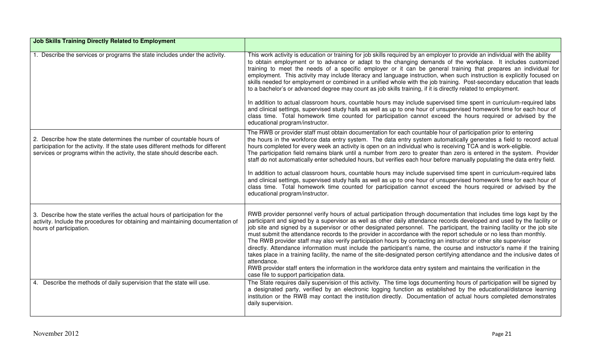| <b>Job Skills Training Directly Related to Employment</b>                                                                                                                                                                               |                                                                                                                                                                                                                                                                                                                                                                                                                                                                                                                                                                                                                                                                                                                                                                                                                                                                                                                                                                                                                                                                 |
|-----------------------------------------------------------------------------------------------------------------------------------------------------------------------------------------------------------------------------------------|-----------------------------------------------------------------------------------------------------------------------------------------------------------------------------------------------------------------------------------------------------------------------------------------------------------------------------------------------------------------------------------------------------------------------------------------------------------------------------------------------------------------------------------------------------------------------------------------------------------------------------------------------------------------------------------------------------------------------------------------------------------------------------------------------------------------------------------------------------------------------------------------------------------------------------------------------------------------------------------------------------------------------------------------------------------------|
| 1. Describe the services or programs the state includes under the activity.                                                                                                                                                             | This work activity is education or training for job skills required by an employer to provide an individual with the ability<br>to obtain employment or to advance or adapt to the changing demands of the workplace. It includes customized<br>training to meet the needs of a specific employer or it can be general training that prepares an individual for<br>employment. This activity may include literacy and language instruction, when such instruction is explicitly focused on<br>skills needed for employment or combined in a unified whole with the job training. Post-secondary education that leads<br>to a bachelor's or advanced degree may count as job skills training, if it is directly related to employment.<br>In addition to actual classroom hours, countable hours may include supervised time spent in curriculum-required labs<br>and clinical settings, supervised study halls as well as up to one hour of unsupervised homework time for each hour of                                                                         |
|                                                                                                                                                                                                                                         | class time. Total homework time counted for participation cannot exceed the hours required or advised by the<br>educational program/instructor.                                                                                                                                                                                                                                                                                                                                                                                                                                                                                                                                                                                                                                                                                                                                                                                                                                                                                                                 |
| 2. Describe how the state determines the number of countable hours of<br>participation for the activity. If the state uses different methods for different<br>services or programs within the activity, the state should describe each. | The RWB or provider staff must obtain documentation for each countable hour of participation prior to entering<br>the hours in the workforce data entry system. The data entry system automatically generates a field to record actual<br>hours completed for every week an activity is open on an individual who is receiving TCA and is work-eligible.<br>The participation field remains blank until a number from zero to greater than zero is entered in the system. Provider<br>staff do not automatically enter scheduled hours, but verifies each hour before manually populating the data entry field.                                                                                                                                                                                                                                                                                                                                                                                                                                                 |
|                                                                                                                                                                                                                                         | In addition to actual classroom hours, countable hours may include supervised time spent in curriculum-required labs<br>and clinical settings, supervised study halls as well as up to one hour of unsupervised homework time for each hour of<br>class time. Total homework time counted for participation cannot exceed the hours required or advised by the<br>educational program/instructor.                                                                                                                                                                                                                                                                                                                                                                                                                                                                                                                                                                                                                                                               |
| 3. Describe how the state verifies the actual hours of participation for the<br>activity. Include the procedures for obtaining and maintaining documentation of<br>hours of participation.                                              | RWB provider personnel verify hours of actual participation through documentation that includes time logs kept by the<br>participant and signed by a supervisor as well as other daily attendance records developed and used by the facility or<br>job site and signed by a supervisor or other designated personnel. The participant, the training facility or the job site<br>must submit the attendance records to the provider in accordance with the report schedule or no less than monthly.<br>The RWB provider staff may also verify participation hours by contacting an instructor or other site supervisor<br>directly. Attendance information must include the participant's name, the course and instructor's name if the training<br>takes place in a training facility, the name of the site-designated person certifying attendance and the inclusive dates of<br>attendance.<br>RWB provider staff enters the information in the workforce data entry system and maintains the verification in the<br>case file to support participation data. |
| 4. Describe the methods of daily supervision that the state will use.                                                                                                                                                                   | The State requires daily supervision of this activity. The time logs documenting hours of participation will be signed by<br>a designated party, verified by an electronic logging function as established by the educational/distance learning<br>institution or the RWB may contact the institution directly. Documentation of actual hours completed demonstrates<br>daily supervision.                                                                                                                                                                                                                                                                                                                                                                                                                                                                                                                                                                                                                                                                      |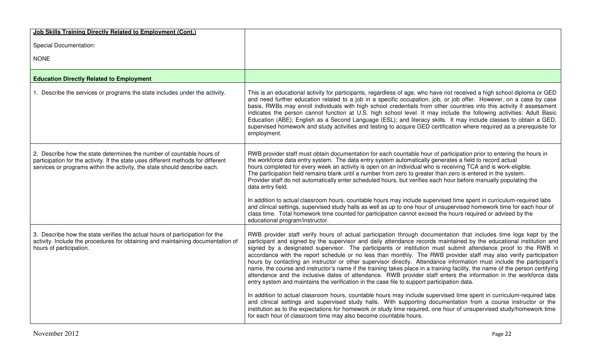| Job Skills Training Directly Related to Employment (Cont.)                                                                                                                                                                              |                                                                                                                                                                                                                                                                                                                                                                                                                                                                                                                                                                                                                                                                                                                                                                                                                                                                                                                                                             |
|-----------------------------------------------------------------------------------------------------------------------------------------------------------------------------------------------------------------------------------------|-------------------------------------------------------------------------------------------------------------------------------------------------------------------------------------------------------------------------------------------------------------------------------------------------------------------------------------------------------------------------------------------------------------------------------------------------------------------------------------------------------------------------------------------------------------------------------------------------------------------------------------------------------------------------------------------------------------------------------------------------------------------------------------------------------------------------------------------------------------------------------------------------------------------------------------------------------------|
| <b>Special Documentation:</b>                                                                                                                                                                                                           |                                                                                                                                                                                                                                                                                                                                                                                                                                                                                                                                                                                                                                                                                                                                                                                                                                                                                                                                                             |
| <b>NONE</b>                                                                                                                                                                                                                             |                                                                                                                                                                                                                                                                                                                                                                                                                                                                                                                                                                                                                                                                                                                                                                                                                                                                                                                                                             |
|                                                                                                                                                                                                                                         |                                                                                                                                                                                                                                                                                                                                                                                                                                                                                                                                                                                                                                                                                                                                                                                                                                                                                                                                                             |
| <b>Education Directly Related to Employment</b>                                                                                                                                                                                         |                                                                                                                                                                                                                                                                                                                                                                                                                                                                                                                                                                                                                                                                                                                                                                                                                                                                                                                                                             |
| 1. Describe the services or programs the state includes under the activity.                                                                                                                                                             | This is an educational activity for participants, regardless of age, who have not received a high school diploma or GED<br>and need further education related to a job in a specific occupation, job, or job offer. However, on a case by case<br>basis, RWBs may enroll individuals with high school credentials from other countries into this activity if assessment<br>indicates the person cannot function at U.S. high school level. It may include the following activities: Adult Basic<br>Education (ABE); English as a Second Language (ESL); and literacy skills. It may include classes to obtain a GED,<br>supervised homework and study activities and testing to acquire GED certification where required as a prerequisite for<br>employment.                                                                                                                                                                                               |
| 2. Describe how the state determines the number of countable hours of<br>participation for the activity. If the state uses different methods for different<br>services or programs within the activity, the state should describe each. | RWB provider staff must obtain documentation for each countable hour of participation prior to entering the hours in<br>the workforce data entry system. The data entry system automatically generates a field to record actual<br>hours completed for every week an activity is open on an individual who is receiving TCA and is work-eligible.<br>The participation field remains blank until a number from zero to greater than zero is entered in the system.<br>Provider staff do not automatically enter scheduled hours, but verifies each hour before manually populating the<br>data entry field.                                                                                                                                                                                                                                                                                                                                                 |
|                                                                                                                                                                                                                                         | In addition to actual classroom hours, countable hours may include supervised time spent in curriculum-required labs<br>and clinical settings, supervised study halls as well as up to one hour of unsupervised homework time for each hour of<br>class time. Total homework time counted for participation cannot exceed the hours required or advised by the<br>educational program/instructor.                                                                                                                                                                                                                                                                                                                                                                                                                                                                                                                                                           |
| 3. Describe how the state verifies the actual hours of participation for the<br>activity. Include the procedures for obtaining and maintaining documentation of<br>hours of participation.                                              | RWB provider staff verify hours of actual participation through documentation that includes time logs kept by the<br>participant and signed by the supervisor and daily attendance records maintained by the educational institution and<br>signed by a designated supervisor. The participants or institution must submit attendance proof to the RWB in<br>accordance with the report schedule or no less than monthly. The RWB provider staff may also verify participation<br>hours by contacting an instructor or other supervisor directly. Attendance information must include the participant's<br>name, the course and instructor's name if the training takes place in a training facility, the name of the person certifying<br>attendance and the inclusive dates of attendance. RWB provider staff enters the information in the workforce data<br>entry system and maintains the verification in the case file to support participation data. |
|                                                                                                                                                                                                                                         | In addition to actual classroom hours, countable hours may include supervised time spent in curriculum-required labs<br>and clinical settings and supervised study halls. With supporting documentation from a course instructor or the<br>institution as to the expectations for homework or study time required, one hour of unsupervised study/homework time<br>for each hour of classroom time may also become countable hours.                                                                                                                                                                                                                                                                                                                                                                                                                                                                                                                         |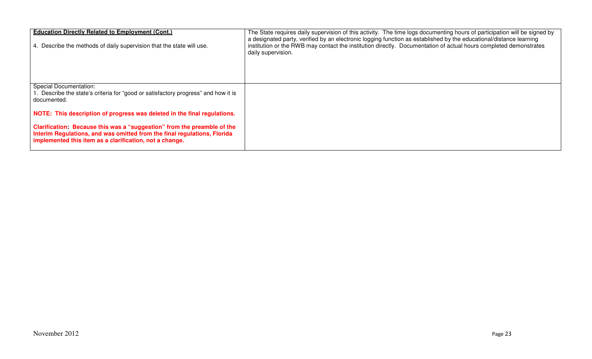| <b>Education Directly Related to Employment (Cont.)</b><br>4. Describe the methods of daily supervision that the state will use.                                                                               | The State requires daily supervision of this activity. The time logs documenting hours of participation will be signed by<br>a designated party, verified by an electronic logging function as established by the educational/distance learning<br>institution or the RWB may contact the institution directly. Documentation of actual hours completed demonstrates<br>daily supervision. |
|----------------------------------------------------------------------------------------------------------------------------------------------------------------------------------------------------------------|--------------------------------------------------------------------------------------------------------------------------------------------------------------------------------------------------------------------------------------------------------------------------------------------------------------------------------------------------------------------------------------------|
| <b>Special Documentation:</b><br>. Describe the state's criteria for "good or satisfactory progress" and how it is<br>documented.                                                                              |                                                                                                                                                                                                                                                                                                                                                                                            |
| NOTE: This description of progress was deleted in the final regulations.                                                                                                                                       |                                                                                                                                                                                                                                                                                                                                                                                            |
| Clarification: Because this was a "suggestion" from the preamble of the<br>Interim Regulations, and was omitted from the final regulations, Florida<br>implemented this item as a clarification, not a change. |                                                                                                                                                                                                                                                                                                                                                                                            |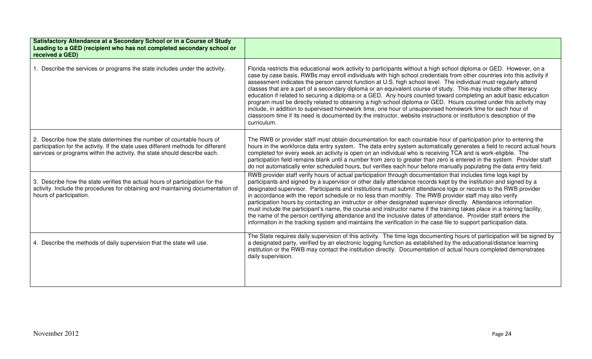| Satisfactory Attendance at a Secondary School or in a Course of Study<br>Leading to a GED (recipient who has not completed secondary school or<br>received a GED)                                                                       |                                                                                                                                                                                                                                                                                                                                                                                                                                                                                                                                                                                                                                                                                                                                                                                                                                                                                                                                                                                      |
|-----------------------------------------------------------------------------------------------------------------------------------------------------------------------------------------------------------------------------------------|--------------------------------------------------------------------------------------------------------------------------------------------------------------------------------------------------------------------------------------------------------------------------------------------------------------------------------------------------------------------------------------------------------------------------------------------------------------------------------------------------------------------------------------------------------------------------------------------------------------------------------------------------------------------------------------------------------------------------------------------------------------------------------------------------------------------------------------------------------------------------------------------------------------------------------------------------------------------------------------|
| 1. Describe the services or programs the state includes under the activity.                                                                                                                                                             | Florida restricts this educational work activity to participants without a high school diploma or GED. However, on a<br>case by case basis, RWBs may enroll individuals with high school credentials from other countries into this activity if<br>assessment indicates the person cannot function at U.S. high school level. The individual must regularly attend<br>classes that are a part of a secondary diploma or an equivalent course of study. This may include other literacy<br>education if related to securing a diploma or a GED. Any hours counted toward completing an adult basic education<br>program must be directly related to obtaining a high school diploma or GED. Hours counted under this activity may<br>include, in addition to supervised homework time, one hour of unsupervised homework time for each hour of<br>classroom time if its need is documented by the instructor, website instructions or institution's description of the<br>curriculum. |
| 2. Describe how the state determines the number of countable hours of<br>participation for the activity. If the state uses different methods for different<br>services or programs within the activity, the state should describe each. | The RWB or provider staff must obtain documentation for each countable hour of participation prior to entering the<br>hours in the workforce data entry system. The data entry system automatically generates a field to record actual hours<br>completed for every week an activity is open on an individual who is receiving TCA and is work-eligible. The<br>participation field remains blank until a number from zero to greater than zero is entered in the system. Provider staff<br>do not automatically enter scheduled hours, but verifies each hour before manually populating the data entry field.                                                                                                                                                                                                                                                                                                                                                                      |
| 3. Describe how the state verifies the actual hours of participation for the<br>activity. Include the procedures for obtaining and maintaining documentation of<br>hours of participation.                                              | RWB provider staff verify hours of actual participation through documentation that includes time logs kept by<br>participants and signed by a supervisor or other daily attendance records kept by the institution and signed by a<br>designated supervisor. Participants and institutions must submit attendance logs or records to the RWB provider<br>in accordance with the report schedule or no less than monthly. The RWB provider staff may also verify<br>participation hours by contacting an instructor or other designated supervisor directly. Attendance information<br>must include the participant's name, the course and instructor name if the training takes place in a training facility,<br>the name of the person certifying attendance and the inclusive dates of attendance. Provider staff enters the<br>information in the tracking system and maintains the verification in the case file to support participation data.                                  |
| 4. Describe the methods of daily supervision that the state will use.                                                                                                                                                                   | The State requires daily supervision of this activity. The time logs documenting hours of participation will be signed by<br>a designated party, verified by an electronic logging function as established by the educational/distance learning<br>institution or the RWB may contact the institution directly. Documentation of actual hours completed demonstrates<br>daily supervision.                                                                                                                                                                                                                                                                                                                                                                                                                                                                                                                                                                                           |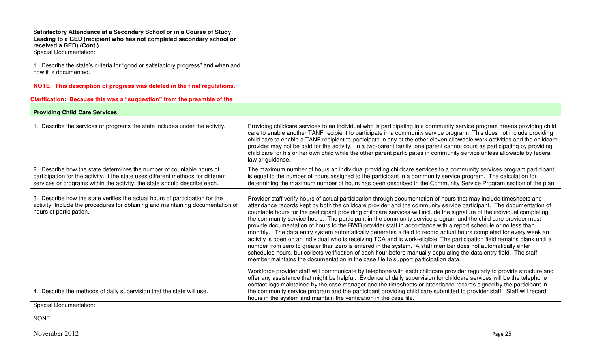| Satisfactory Attendance at a Secondary School or in a Course of Study<br>Leading to a GED (recipient who has not completed secondary school or                                                                                          |                                                                                                                                                                                                                                                                                                                                                                                                                                                                                                                                                                                                                                                                                                                                                                                                                                                                                                                                                                                                                                                                                                                                                                                       |
|-----------------------------------------------------------------------------------------------------------------------------------------------------------------------------------------------------------------------------------------|---------------------------------------------------------------------------------------------------------------------------------------------------------------------------------------------------------------------------------------------------------------------------------------------------------------------------------------------------------------------------------------------------------------------------------------------------------------------------------------------------------------------------------------------------------------------------------------------------------------------------------------------------------------------------------------------------------------------------------------------------------------------------------------------------------------------------------------------------------------------------------------------------------------------------------------------------------------------------------------------------------------------------------------------------------------------------------------------------------------------------------------------------------------------------------------|
| received a GED) (Cont.)<br><b>Special Documentation:</b>                                                                                                                                                                                |                                                                                                                                                                                                                                                                                                                                                                                                                                                                                                                                                                                                                                                                                                                                                                                                                                                                                                                                                                                                                                                                                                                                                                                       |
| 1. Describe the state's criteria for "good or satisfactory progress" and when and<br>how it is documented.                                                                                                                              |                                                                                                                                                                                                                                                                                                                                                                                                                                                                                                                                                                                                                                                                                                                                                                                                                                                                                                                                                                                                                                                                                                                                                                                       |
| NOTE: This description of progress was deleted in the final regulations.                                                                                                                                                                |                                                                                                                                                                                                                                                                                                                                                                                                                                                                                                                                                                                                                                                                                                                                                                                                                                                                                                                                                                                                                                                                                                                                                                                       |
| Clarification: Because this was a "suggestion" from the preamble of the                                                                                                                                                                 |                                                                                                                                                                                                                                                                                                                                                                                                                                                                                                                                                                                                                                                                                                                                                                                                                                                                                                                                                                                                                                                                                                                                                                                       |
| <b>Providing Child Care Services</b>                                                                                                                                                                                                    |                                                                                                                                                                                                                                                                                                                                                                                                                                                                                                                                                                                                                                                                                                                                                                                                                                                                                                                                                                                                                                                                                                                                                                                       |
| 1. Describe the services or programs the state includes under the activity.                                                                                                                                                             | Providing childcare services to an individual who is participating in a community service program means providing child<br>care to enable another TANF recipient to participate in a community service program. This does not include providing<br>child care to enable a TANF recipient to participate in any of the other eleven allowable work activities and the childcare<br>provider may not be paid for the activity. In a two-parent family, one parent cannot count as participating by providing<br>child care for his or her own child while the other parent participates in community service unless allowable by federal<br>law or guidance.                                                                                                                                                                                                                                                                                                                                                                                                                                                                                                                            |
| 2. Describe how the state determines the number of countable hours of<br>participation for the activity. If the state uses different methods for different<br>services or programs within the activity, the state should describe each. | The maximum number of hours an individual providing childcare services to a community services program participant<br>is equal to the number of hours assigned to the participant in a community service program. The calculation for<br>determining the maximum number of hours has been described in the Community Service Program section of the plan.                                                                                                                                                                                                                                                                                                                                                                                                                                                                                                                                                                                                                                                                                                                                                                                                                             |
| 3. Describe how the state verifies the actual hours of participation for the<br>activity. Include the procedures for obtaining and maintaining documentation of<br>hours of participation.                                              | Provider staff verify hours of actual participation through documentation of hours that may include timesheets and<br>attendance records kept by both the childcare provider and the community service participant. The documentation of<br>countable hours for the participant providing childcare services will include the signature of the individual completing<br>the community service hours. The participant in the community service program and the child care provider must<br>provide documentation of hours to the RWB provider staff in accordance with a report schedule or no less than<br>monthly. The data entry system automatically generates a field to record actual hours completed for every week an<br>activity is open on an individual who is receiving TCA and is work-eligible. The participation field remains blank until a<br>number from zero to greater than zero is entered in the system. A staff member does not automatically enter<br>scheduled hours, but collects verification of each hour before manually populating the data entry field. The staff<br>member maintains the documentation in the case file to support participation data. |
| 4. Describe the methods of daily supervision that the state will use.                                                                                                                                                                   | Workforce provider staff will communicate by telephone with each childcare provider regularly to provide structure and<br>offer any assistance that might be helpful. Evidence of daily supervision for childcare services will be the telephone<br>contact logs maintained by the case manager and the timesheets or attendance records signed by the participant in<br>the community service program and the participant providing child care submitted to provider staff. Staff will record<br>hours in the system and maintain the verification in the case file.                                                                                                                                                                                                                                                                                                                                                                                                                                                                                                                                                                                                                 |
| <b>Special Documentation:</b>                                                                                                                                                                                                           |                                                                                                                                                                                                                                                                                                                                                                                                                                                                                                                                                                                                                                                                                                                                                                                                                                                                                                                                                                                                                                                                                                                                                                                       |
| <b>NONE</b>                                                                                                                                                                                                                             |                                                                                                                                                                                                                                                                                                                                                                                                                                                                                                                                                                                                                                                                                                                                                                                                                                                                                                                                                                                                                                                                                                                                                                                       |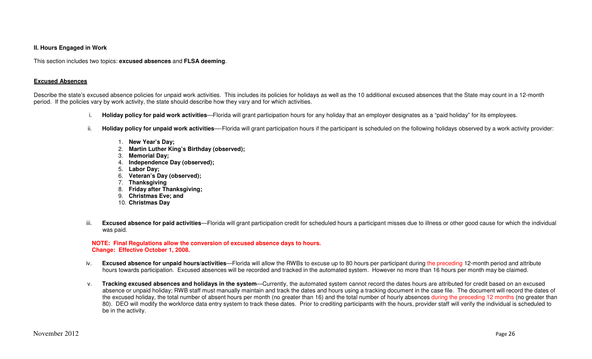#### **II. Hours Engaged in Work**

This section includes two topics: **excused absences** and **FLSA deeming**.

#### **Excused Absences**

Describe the state's excused absence policies for unpaid work activities. This includes its policies for holidays as well as the 10 additional excused absences that the State may count in a 12-month period. If the policies vary by work activity, the state should describe how they vary and for which activities.

- i. **Holiday policy for paid work activities**—Florida will grant participation hours for any holiday that an employer designates as a "paid holiday" for its employees.
- ii. **Holiday policy for unpaid work activities**—-Florida will grant participation hours if the participant is scheduled on the following holidays observed by a work activity provider:
	- 1. **New Year's Day;**
	- 2. **Martin Luther King's Birthday (observed);**
	- 3. **Memorial Day;**
	- 4. **Independence Day (observed);**
	- 5. **Labor Day;**
	- 6. **Veteran's Day (observed);**
	- 7. **Thanksgiving**
	- 8. **Friday after Thanksgiving;**
	- 9. **Christmas Eve; and**
	- 10. **Christmas Day**
- iii. **Excused absence for paid activities**—Florida will grant participation credit for scheduled hours a participant misses due to illness or other good cause for which the individual was paid.

#### **NOTE: Final Regulations allow the conversion of excused absence days to hours. Change: Effective October 1, 2008.**

- iv. **Excused absence for unpaid hours/activities**—Florida will allow the RWBs to excuse up to 80 hours per participant during the preceding 12-month period and attribute hours towards participation. Excused absences will be recorded and tracked in the automated system. However no more than 16 hours per month may be claimed.
- v. **Tracking excused absences and holidays in the system**—Currently, the automated system cannot record the dates hours are attributed for credit based on an excused absence or unpaid holiday; RWB staff must manually maintain and track the dates and hours using a tracking document in the case file. The document will record the dates of the excused holiday, the total number of absent hours per month (no greater than 16) and the total number of hourly absences during the preceding 12 months (no greater than 80). DEO will modify the workforce data entry system to track these dates. Prior to crediting participants with the hours, provider staff will verify the individual is scheduled to be in the activity.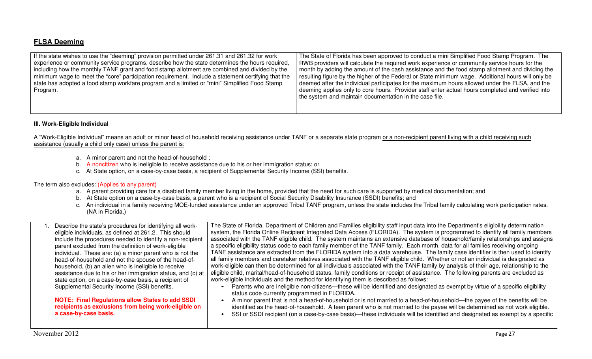## **FLSA Deeming**

| If the state wishes to use the "deeming" provision permitted under 261.31 and 261.32 for work      | The State of Florida has been approved to conduct a mini Simplified Food Stamp Program. The        |
|----------------------------------------------------------------------------------------------------|----------------------------------------------------------------------------------------------------|
| experience or community service programs, describe how the state determines the hours required,    | RWB providers will calculate the required work experience or community service hours for the       |
| including how the monthly TANF grant and food stamp allotment are combined and divided by the      | month by adding the amount of the cash assistance and the food stamp allotment and dividing the    |
| minimum wage to meet the "core" participation requirement. Include a statement certifying that the | resulting figure by the higher of the Federal or State minimum wage. Additional hours will only be |
| state has adopted a food stamp workfare program and a limited or "mini" Simplified Food Stamp      | deemed after the individual participates for the maximum hours allowed under the FLSA, and the     |
| Program.                                                                                           | deeming applies only to core hours. Provider staff enter actual hours completed and verified into  |
|                                                                                                    | the system and maintain documentation in the case file.                                            |
|                                                                                                    |                                                                                                    |

#### **III. Work-Eligible Individual**

A "Work-Eligible Individual" means an adult or minor head of household receiving assistance under TANF or a separate state program or a non-recipient parent living with a child receiving such assistance (usually a child only case) unless the parent is:

- a. A minor parent and not the head-of-household ;
- b. A noncitizen who is ineligible to receive assistance due to his or her immigration status; or
- c. At State option, on a case-by-case basis, a recipient of Supplemental Security Income (SSI) benefits.

#### The term also excludes: (Applies to any parent)

- a. A parent providing care for a disabled family member living in the home, provided that the need for such care is supported by medical documentation; and
- b. At State option on a case-by-case basis, a parent who is a recipient of Social Security Disability Insurance (SSDI) benefits; and
- c. An individual in a family receiving MOE-funded assistance under an approved Tribal TANF program, unless the state includes the Tribal family calculating work participation rates. (NA in Florida.)

| Describe the state's procedures for identifying all work-<br>eligible individuals, as defined at 261.2. This should<br>include the procedures needed to identify a non-recipient<br>parent excluded from the definition of work-eligible<br>individual. These are: (a) a minor parent who is not the<br>head-of-household and not the spouse of the head-of-<br>household, (b) an alien who is ineligible to receive<br>assistance due to his or her immigration status, and (c) at<br>state option, on a case-by-case basis, a recipient of<br>Supplemental Security Income (SSI) benefits.<br><b>NOTE: Final Regulations allow States to add SSDI</b><br>recipients as exclusions from being work-eligible on<br>a case-by-case basis. | The State of Florida, Department of Children and Families eligibility staff input data into the Department's eligibility determination<br>system, the Florida Online Recipient Integrated Data Access (FLORIDA). The system is programmed to identify all family members<br>associated with the TANF eligible child. The system maintains an extensive database of household/family relationships and assigns<br>a specific eligibility status code to each family member of the TANF family. Each month, data for all families receiving ongoing<br>TANF assistance are extracted from the FLORIDA system into a data warehouse. The family case identifier is then used to identify<br>all family members and caretaker relatives associated with the TANF eligible child. Whether or not an individual is designated as<br>work-eligible can then be determined for all individuals associated with the TANF family by analysis of their age, relationship to the<br>eligible child, marital/head-of-household status, family conditions or receipt of assistance. The following parents are excluded as<br>work-eligible individuals and the method for identifying them is described as follows:<br>Parents who are ineligible non-citizens—these will be identified and designated as exempt by virtue of a specific eligibility<br>status code currently programmed in FLORIDA.<br>A minor parent that is not a head-of-household or is not married to a head-of-household—the payee of the benefits will be<br>$\bullet$<br>identified as the head-of-household. A teen parent who is not married to the payee will be determined as not work eligible.<br>SSI or SSDI recipient (on a case-by-case basis)—these individuals will be identified and designated as exempt by a specific |
|------------------------------------------------------------------------------------------------------------------------------------------------------------------------------------------------------------------------------------------------------------------------------------------------------------------------------------------------------------------------------------------------------------------------------------------------------------------------------------------------------------------------------------------------------------------------------------------------------------------------------------------------------------------------------------------------------------------------------------------|------------------------------------------------------------------------------------------------------------------------------------------------------------------------------------------------------------------------------------------------------------------------------------------------------------------------------------------------------------------------------------------------------------------------------------------------------------------------------------------------------------------------------------------------------------------------------------------------------------------------------------------------------------------------------------------------------------------------------------------------------------------------------------------------------------------------------------------------------------------------------------------------------------------------------------------------------------------------------------------------------------------------------------------------------------------------------------------------------------------------------------------------------------------------------------------------------------------------------------------------------------------------------------------------------------------------------------------------------------------------------------------------------------------------------------------------------------------------------------------------------------------------------------------------------------------------------------------------------------------------------------------------------------------------------------------------------------------------------------------------------------------------------------------------|
|------------------------------------------------------------------------------------------------------------------------------------------------------------------------------------------------------------------------------------------------------------------------------------------------------------------------------------------------------------------------------------------------------------------------------------------------------------------------------------------------------------------------------------------------------------------------------------------------------------------------------------------------------------------------------------------------------------------------------------------|------------------------------------------------------------------------------------------------------------------------------------------------------------------------------------------------------------------------------------------------------------------------------------------------------------------------------------------------------------------------------------------------------------------------------------------------------------------------------------------------------------------------------------------------------------------------------------------------------------------------------------------------------------------------------------------------------------------------------------------------------------------------------------------------------------------------------------------------------------------------------------------------------------------------------------------------------------------------------------------------------------------------------------------------------------------------------------------------------------------------------------------------------------------------------------------------------------------------------------------------------------------------------------------------------------------------------------------------------------------------------------------------------------------------------------------------------------------------------------------------------------------------------------------------------------------------------------------------------------------------------------------------------------------------------------------------------------------------------------------------------------------------------------------------|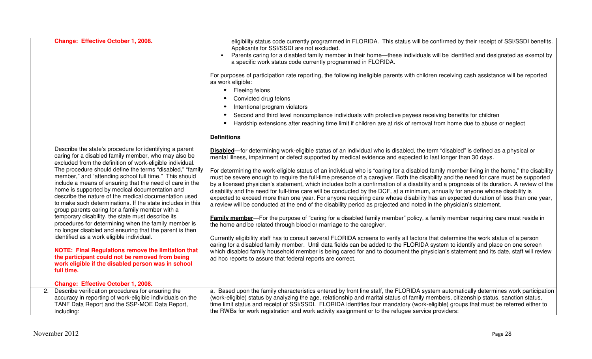|                | Change: Effective October 1, 2008.                                                                                                                                                                                                                                                                                                                                                                          | eligibility status code currently programmed in FLORIDA. This status will be confirmed by their receipt of SSI/SSDI benefits.<br>Applicants for SSI/SSDI are not excluded.<br>Parents caring for a disabled family member in their home-these individuals will be identified and designated as exempt by<br>a specific work status code currently programmed in FLORIDA.<br>For purposes of participation rate reporting, the following ineligible parents with children receiving cash assistance will be reported<br>as work eligible:<br>Fleeing felons<br>$\bullet$<br>Convicted drug felons<br>Intentional program violators<br>Second and third level noncompliance individuals with protective payees receiving benefits for children<br>Hardship extensions after reaching time limit if children are at risk of removal from home due to abuse or neglect |
|----------------|-------------------------------------------------------------------------------------------------------------------------------------------------------------------------------------------------------------------------------------------------------------------------------------------------------------------------------------------------------------------------------------------------------------|--------------------------------------------------------------------------------------------------------------------------------------------------------------------------------------------------------------------------------------------------------------------------------------------------------------------------------------------------------------------------------------------------------------------------------------------------------------------------------------------------------------------------------------------------------------------------------------------------------------------------------------------------------------------------------------------------------------------------------------------------------------------------------------------------------------------------------------------------------------------|
|                |                                                                                                                                                                                                                                                                                                                                                                                                             |                                                                                                                                                                                                                                                                                                                                                                                                                                                                                                                                                                                                                                                                                                                                                                                                                                                                    |
|                |                                                                                                                                                                                                                                                                                                                                                                                                             | <b>Definitions</b>                                                                                                                                                                                                                                                                                                                                                                                                                                                                                                                                                                                                                                                                                                                                                                                                                                                 |
|                | Describe the state's procedure for identifying a parent<br>caring for a disabled family member, who may also be<br>excluded from the definition of work-eligible individual.                                                                                                                                                                                                                                | Disabled-for determining work-eligible status of an individual who is disabled, the term "disabled" is defined as a physical or<br>mental illness, impairment or defect supported by medical evidence and expected to last longer than 30 days.                                                                                                                                                                                                                                                                                                                                                                                                                                                                                                                                                                                                                    |
|                | The procedure should define the terms "disabled," "family<br>member," and "attending school full time." This should<br>include a means of ensuring that the need of care in the<br>home is supported by medical documentation and<br>describe the nature of the medical documentation used<br>to make such determinations. If the state includes in this<br>group parents caring for a family member with a | For determining the work-eligible status of an individual who is "caring for a disabled family member living in the home," the disability<br>must be severe enough to require the full-time presence of a caregiver. Both the disability and the need for care must be supported<br>by a licensed physician's statement, which includes both a confirmation of a disability and a prognosis of its duration. A review of the<br>disability and the need for full-time care will be conducted by the DCF, at a minimum, annually for anyone whose disability is<br>expected to exceed more than one year. For anyone requiring care whose disability has an expected duration of less than one year,<br>a review will be conducted at the end of the disability period as projected and noted in the physician's statement.                                         |
|                | temporary disability, the state must describe its<br>procedures for determining when the family member is<br>no longer disabled and ensuring that the parent is then                                                                                                                                                                                                                                        | <b>Family member</b> —For the purpose of "caring for a disabled family member" policy, a family member requiring care must reside in<br>the home and be related through blood or marriage to the caregiver.                                                                                                                                                                                                                                                                                                                                                                                                                                                                                                                                                                                                                                                        |
|                | identified as a work eligible individual.                                                                                                                                                                                                                                                                                                                                                                   | Currently eligibility staff has to consult several FLORIDA screens to verify all factors that determine the work status of a person<br>caring for a disabled family member. Until data fields can be added to the FLORIDA system to identify and place on one screen                                                                                                                                                                                                                                                                                                                                                                                                                                                                                                                                                                                               |
|                | <b>NOTE: Final Regulations remove the limitation that</b><br>the participant could not be removed from being<br>work eligible if the disabled person was in school<br>full time.                                                                                                                                                                                                                            | which disabled family household member is being cared for and to document the physician's statement and its date, staff will review<br>ad hoc reports to assure that federal reports are correct.                                                                                                                                                                                                                                                                                                                                                                                                                                                                                                                                                                                                                                                                  |
|                | Change: Effective October 1, 2008.                                                                                                                                                                                                                                                                                                                                                                          |                                                                                                                                                                                                                                                                                                                                                                                                                                                                                                                                                                                                                                                                                                                                                                                                                                                                    |
| 2 <sub>1</sub> | Describe verification procedures for ensuring the                                                                                                                                                                                                                                                                                                                                                           | a. Based upon the family characteristics entered by front line staff, the FLORIDA system automatically determines work participation                                                                                                                                                                                                                                                                                                                                                                                                                                                                                                                                                                                                                                                                                                                               |
|                | accuracy in reporting of work-eligible individuals on the<br>TANF Data Report and the SSP-MOE Data Report,<br>including:                                                                                                                                                                                                                                                                                    | (work-eligible) status by analyzing the age, relationship and marital status of family members, citizenship status, sanction status,<br>time limit status and receipt of SSI/SSDI. FLORIDA identifies four mandatory (work-eligible) groups that must be referred either to<br>the RWBs for work registration and work activity assignment or to the refugee service providers:                                                                                                                                                                                                                                                                                                                                                                                                                                                                                    |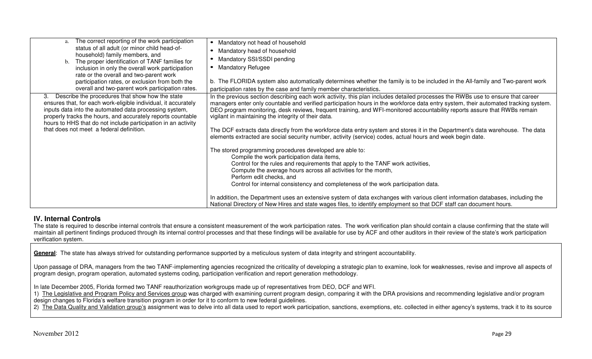| The correct reporting of the work participation<br>status of all adult (or minor child head-of-<br>household) family members, and<br>b. The proper identification of TANF families for<br>inclusion in only the overall work participation<br>rate or the overall and two-parent work<br>participation rates, or exclusion from both the<br>overall and two-parent work participation rates. | Mandatory not head of household<br>$\bullet$<br>Mandatory head of household<br>Mandatory SSI/SSDI pending<br><b>Mandatory Refugee</b><br>b. The FLORIDA system also automatically determines whether the family is to be included in the All-family and Two-parent work<br>participation rates by the case and family member characteristics.                                                                                                                                                                                                                                                                                                                                                                                                                                                                                                                                                                                                                                                                                                                                              |
|----------------------------------------------------------------------------------------------------------------------------------------------------------------------------------------------------------------------------------------------------------------------------------------------------------------------------------------------------------------------------------------------|--------------------------------------------------------------------------------------------------------------------------------------------------------------------------------------------------------------------------------------------------------------------------------------------------------------------------------------------------------------------------------------------------------------------------------------------------------------------------------------------------------------------------------------------------------------------------------------------------------------------------------------------------------------------------------------------------------------------------------------------------------------------------------------------------------------------------------------------------------------------------------------------------------------------------------------------------------------------------------------------------------------------------------------------------------------------------------------------|
| Describe the procedures that show how the state<br>3.<br>ensures that, for each work-eligible individual, it accurately<br>inputs data into the automated data processing system,<br>properly tracks the hours, and accurately reports countable<br>hours to HHS that do not include participation in an activity<br>that does not meet a federal definition.                                | In the previous section describing each work activity, this plan includes detailed processes the RWBs use to ensure that career<br>managers enter only countable and verified participation hours in the workforce data entry system, their automated tracking system.<br>DEO program monitoring, desk reviews, frequent training, and WFI-monitored accountability reports assure that RWBs remain<br>vigilant in maintaining the integrity of their data.<br>The DCF extracts data directly from the workforce data entry system and stores it in the Department's data warehouse. The data<br>elements extracted are social security number, activity (service) codes, actual hours and week begin date.<br>The stored programming procedures developed are able to:<br>Compile the work participation data items,<br>Control for the rules and requirements that apply to the TANF work activities,<br>Compute the average hours across all activities for the month,<br>Perform edit checks, and<br>Control for internal consistency and completeness of the work participation data. |
|                                                                                                                                                                                                                                                                                                                                                                                              | In addition, the Department uses an extensive system of data exchanges with various client information databases, including the<br>National Directory of New Hires and state wages files, to identify employment so that DCF staff can document hours.                                                                                                                                                                                                                                                                                                                                                                                                                                                                                                                                                                                                                                                                                                                                                                                                                                     |

# **IV. Internal Controls**

The state is required to describe internal controls that ensure a consistent measurement of the work participation rates. The work verification plan should contain a clause confirming that the state will maintain all pertinent findings produced through its internal control processes and that these findings will be available for use by ACF and other auditors in their review of the state's work participation verification system.

General: The state has always strived for outstanding performance supported by a meticulous system of data integrity and stringent accountability.

Upon passage of DRA, managers from the two TANF-implementing agencies recognized the criticality of developing a strategic plan to examine, look for weaknesses, revise and improve all aspects of program design, program operation, automated systems coding, participation verification and report generation methodology.

In late December 2005, Florida formed two TANF reauthorization workgroups made up of representatives from DEO, DCF and WFI.

1) The Legislative and Program Policy and Services group was charged with examining current program design, comparing it with the DRA provisions and recommending legislative and/or program design changes to Florida's welfare transition program in order for it to conform to new federal guidelines.

2) The Data Quality and Validation group's assignment was to delve into all data used to report work participation, sanctions, exemptions, etc. collected in either agency's systems, track it to its source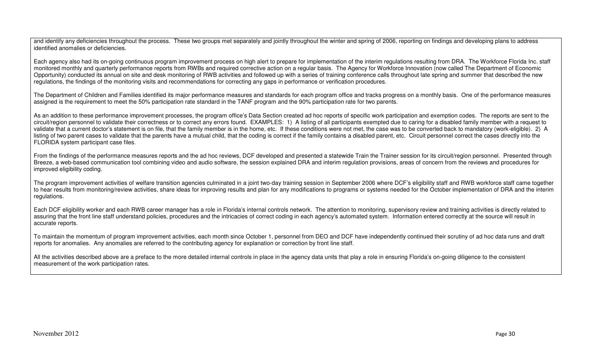and identify any deficiencies throughout the process. These two groups met separately and jointly throughout the winter and spring of 2006, reporting on findings and developing plans to address identified anomalies or deficiencies.

Each agency also had its on-going continuous program improvement process on high alert to prepare for implementation of the interim regulations resulting from DRA. The Workforce Florida Inc. staff monitored monthly and quarterly performance reports from RWBs and required corrective action on a regular basis. The Agency for Workforce Innovation (now called The Department of Economic Opportunity) conducted its annual on site and desk monitoring of RWB activities and followed up with a series of training conference calls throughout late spring and summer that described the new regulations, the findings of the monitoring visits and recommendations for correcting any gaps in performance or verification procedures.

The Department of Children and Families identified its major performance measures and standards for each program office and tracks progress on a monthly basis. One of the performance measures assigned is the requirement to meet the 50% participation rate standard in the TANF program and the 90% participation rate for two parents.

As an addition to these performance improvement processes, the program office's Data Section created ad hoc reports of specific work participation and exemption codes. The reports are sent to the circuit/region personnel to validate their correctness or to correct any errors found. EXAMPLES: 1) A listing of all participants exempted due to caring for a disabled family member with a request to validate that a current doctor's statement is on file, that the family member is in the home, etc. If these conditions were not met, the case was to be converted back to mandatory (work-eligible). 2) A listing of two parent cases to validate that the parents have a mutual child, that the coding is correct if the family contains a disabled parent, etc. Circuit personnel correct the cases directly into the FLORIDA system participant case files.

From the findings of the performance measures reports and the ad hoc reviews, DCF developed and presented a statewide Train the Trainer session for its circuit/region personnel. Presented through Breeze, a web-based communication tool combining video and audio software, the session explained DRA and interim regulation provisions, areas of concern from the reviews and procedures for improved eligibility coding.

The program improvement activities of welfare transition agencies culminated in a joint two-day training session in September 2006 where DCF's eligibility staff and RWB workforce staff came together to hear results from monitoring/review activities, share ideas for improving results and plan for any modifications to programs or systems needed for the October implementation of DRA and the interim regulations.

Each DCF eligibility worker and each RWB career manager has a role in Florida's internal controls network. The attention to monitoring, supervisory review and training activities is directly related to assuring that the front line staff understand policies, procedures and the intricacies of correct coding in each agency's automated system. Information entered correctly at the source will result in accurate reports.

To maintain the momentum of program improvement activities, each month since October 1, personnel from DEO and DCF have independently continued their scrutiny of ad hoc data runs and draft reports for anomalies. Any anomalies are referred to the contributing agency for explanation or correction by front line staff.

All the activities described above are a preface to the more detailed internal controls in place in the agency data units that play a role in ensuring Florida's on-going diligence to the consistent measurement of the work participation rates.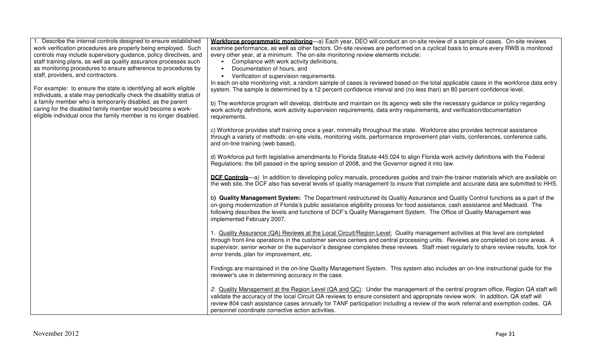| 1. Describe the internal controls designed to ensure established<br>work verification procedures are properly being employed. Such<br>controls may include supervisory guidance, policy directives, and<br>staff training plans, as well as quality assurance processes such<br>as monitoring procedures to ensure adherence to procedures by<br>staff, providers, and contractors. | Workforce programmatic monitoring—a) Each year, DEO will conduct an on-site review of a sample of cases. On-site reviews<br>examine performance, as well as other factors. On-site reviews are performed on a cyclical basis to ensure every RWB is monitored<br>every other year, at a minimum. The on-site monitoring review elements include:<br>Compliance with work activity definitions,<br>Documentation of hours, and<br>$\bullet$<br>Verification of supervision requirements.<br>$\bullet$                                                 |
|-------------------------------------------------------------------------------------------------------------------------------------------------------------------------------------------------------------------------------------------------------------------------------------------------------------------------------------------------------------------------------------|------------------------------------------------------------------------------------------------------------------------------------------------------------------------------------------------------------------------------------------------------------------------------------------------------------------------------------------------------------------------------------------------------------------------------------------------------------------------------------------------------------------------------------------------------|
| For example: to ensure the state is identifying all work eligible<br>individuals, a state may periodically check the disability status of<br>a family member who is temporarily disabled, as the parent<br>caring for the disabled family member would become a work-<br>eligible individual once the family member is no longer disabled.                                          | In each on-site monitoring visit, a random sample of cases is reviewed based on the total applicable cases in the workforce data entry<br>system. The sample is determined by a 12 percent confidence interval and (no less than) an 80 percent confidence level.<br>b) The workforce program will develop, distribute and maintain on its agency web site the necessary guidance or policy regarding<br>work activity definitions, work activity supervision requirements, data entry requirements, and verification/documentation<br>requirements. |
|                                                                                                                                                                                                                                                                                                                                                                                     | c) Workforce provides staff training once a year, minimally throughout the state. Workforce also provides technical assistance<br>through a variety of methods: on-site visits, monitoring visits, performance improvement plan visits, conferences, conference calls,<br>and on-line training (web based).                                                                                                                                                                                                                                          |
|                                                                                                                                                                                                                                                                                                                                                                                     | d) Workforce put forth legislative amendments to Florida Statute 445.024 to align Florida work activity definitions with the Federal<br>Regulations; the bill passed in the spring session of 2008, and the Governor signed it into law.                                                                                                                                                                                                                                                                                                             |
|                                                                                                                                                                                                                                                                                                                                                                                     | DCF Controls-a) In addition to developing policy manuals, procedures guides and train-the-trainer materials which are available on<br>the web site, the DCF also has several levels of quality management to insure that complete and accurate data are submitted to HHS.                                                                                                                                                                                                                                                                            |
|                                                                                                                                                                                                                                                                                                                                                                                     | b) Quality Management System: The Department restructured its Quality Assurance and Quality Control functions as a part of the<br>on-going modernization of Florida's public assistance eligibility process for food assistance, cash assistance and Medicaid. The<br>following describes the levels and functions of DCF's Quality Management System. The Office of Quality Management was<br>implemented February 2007.                                                                                                                            |
|                                                                                                                                                                                                                                                                                                                                                                                     | 1. Quality Assurance (QA) Reviews at the Local Circuit/Region Level: Quality management activities at this level are completed<br>through front-line operations in the customer service centers and central processing units. Reviews are completed on core areas. A<br>supervisor, senior worker or the supervisor's designee completes these reviews. Staff meet regularly to share review results, look for<br>error trends, plan for improvement, etc.                                                                                           |
|                                                                                                                                                                                                                                                                                                                                                                                     | Findings are maintained in the on-line Quality Management System. This system also includes an on-line instructional guide for the<br>reviewer's use in determining accuracy in the case.                                                                                                                                                                                                                                                                                                                                                            |
|                                                                                                                                                                                                                                                                                                                                                                                     | 2. Quality Management at the Region Level (QA and QC): Under the management of the central program office, Region QA staff will<br>validate the accuracy of the local Circuit QA reviews to ensure consistent and appropriate review work. In addition, QA staff will<br>review 804 cash assistance cases annually for TANF participation including a review of the work referral and exemption codes. QA<br>personnel coordinate corrective action activities.                                                                                      |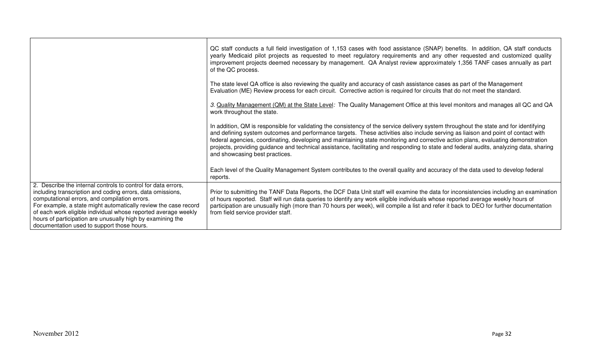|                                                                                                                                                                                                                                                                                                                                                                                                                               | QC staff conducts a full field investigation of 1,153 cases with food assistance (SNAP) benefits. In addition, QA staff conducts<br>yearly Medicaid pilot projects as requested to meet regulatory requirements and any other requested and customized quality<br>improvement projects deemed necessary by management. QA Analyst review approximately 1,356 TANF cases annually as part<br>of the QC process.                                                                                                                                                                              |
|-------------------------------------------------------------------------------------------------------------------------------------------------------------------------------------------------------------------------------------------------------------------------------------------------------------------------------------------------------------------------------------------------------------------------------|---------------------------------------------------------------------------------------------------------------------------------------------------------------------------------------------------------------------------------------------------------------------------------------------------------------------------------------------------------------------------------------------------------------------------------------------------------------------------------------------------------------------------------------------------------------------------------------------|
|                                                                                                                                                                                                                                                                                                                                                                                                                               | The state level QA office is also reviewing the quality and accuracy of cash assistance cases as part of the Management<br>Evaluation (ME) Review process for each circuit. Corrective action is required for circuits that do not meet the standard.                                                                                                                                                                                                                                                                                                                                       |
|                                                                                                                                                                                                                                                                                                                                                                                                                               | 3. Quality Management (QM) at the State Level: The Quality Management Office at this level monitors and manages all QC and QA<br>work throughout the state.                                                                                                                                                                                                                                                                                                                                                                                                                                 |
|                                                                                                                                                                                                                                                                                                                                                                                                                               | In addition, QM is responsible for validating the consistency of the service delivery system throughout the state and for identifying<br>and defining system outcomes and performance targets. These activities also include serving as liaison and point of contact with<br>federal agencies, coordinating, developing and maintaining state monitoring and corrective action plans, evaluating demonstration<br>projects, providing guidance and technical assistance, facilitating and responding to state and federal audits, analyzing data, sharing<br>and showcasing best practices. |
|                                                                                                                                                                                                                                                                                                                                                                                                                               | Each level of the Quality Management System contributes to the overall quality and accuracy of the data used to develop federal<br>reports.                                                                                                                                                                                                                                                                                                                                                                                                                                                 |
| 2. Describe the internal controls to control for data errors,<br>including transcription and coding errors, data omissions,<br>computational errors, and compilation errors.<br>For example, a state might automatically review the case record<br>of each work eligible individual whose reported average weekly<br>hours of participation are unusually high by examining the<br>documentation used to support those hours. | Prior to submitting the TANF Data Reports, the DCF Data Unit staff will examine the data for inconsistencies including an examination<br>of hours reported. Staff will run data queries to identify any work eligible individuals whose reported average weekly hours of<br>participation are unusually high (more than 70 hours per week), will compile a list and refer it back to DEO for further documentation<br>from field service provider staff.                                                                                                                                    |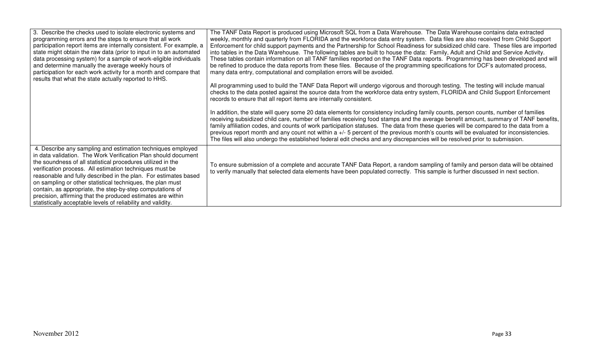| 3. Describe the checks used to isolate electronic systems and<br>programming errors and the steps to ensure that all work<br>participation report items are internally consistent. For example, a<br>state might obtain the raw data (prior to input in to an automated<br>data processing system) for a sample of work-eligible individuals<br>and determine manually the average weekly hours of<br>participation for each work activity for a month and compare that<br>results that what the state actually reported to HHS.                                                     | The TANF Data Report is produced using Microsoft SQL from a Data Warehouse. The Data Warehouse contains data extracted<br>weekly, monthly and quarterly from FLORIDA and the workforce data entry system. Data files are also received from Child Support<br>Enforcement for child support payments and the Partnership for School Readiness for subsidized child care. These files are imported<br>into tables in the Data Warehouse. The following tables are built to house the data: Family, Adult and Child and Service Activity.<br>These tables contain information on all TANF families reported on the TANF Data reports. Programming has been developed and will<br>be refined to produce the data reports from these files. Because of the programming specifications for DCF's automated process,<br>many data entry, computational and compilation errors will be avoided.<br>All programming used to build the TANF Data Report will undergo vigorous and thorough testing. The testing will include manual<br>checks to the data posted against the source data from the workforce data entry system, FLORIDA and Child Support Enforcement<br>records to ensure that all report items are internally consistent.<br>In addition, the state will query some 20 data elements for consistency including family counts, person counts, number of families<br>receiving subsidized child care, number of families receiving food stamps and the average benefit amount, summary of TANF benefits,<br>family affiliation codes, and counts of work participation statuses. The data from these queries will be compared to the data from a<br>previous report month and any count not within a +/- 5 percent of the previous month's counts will be evaluated for inconsistencies.<br>The files will also undergo the established federal edit checks and any discrepancies will be resolved prior to submission. |
|--------------------------------------------------------------------------------------------------------------------------------------------------------------------------------------------------------------------------------------------------------------------------------------------------------------------------------------------------------------------------------------------------------------------------------------------------------------------------------------------------------------------------------------------------------------------------------------|------------------------------------------------------------------------------------------------------------------------------------------------------------------------------------------------------------------------------------------------------------------------------------------------------------------------------------------------------------------------------------------------------------------------------------------------------------------------------------------------------------------------------------------------------------------------------------------------------------------------------------------------------------------------------------------------------------------------------------------------------------------------------------------------------------------------------------------------------------------------------------------------------------------------------------------------------------------------------------------------------------------------------------------------------------------------------------------------------------------------------------------------------------------------------------------------------------------------------------------------------------------------------------------------------------------------------------------------------------------------------------------------------------------------------------------------------------------------------------------------------------------------------------------------------------------------------------------------------------------------------------------------------------------------------------------------------------------------------------------------------------------------------------------------------------------------------------------------------------------------------------------------------------------------------|
| 4. Describe any sampling and estimation techniques employed<br>in data validation. The Work Verification Plan should document<br>the soundness of all statistical procedures utilized in the<br>verification process. All estimation techniques must be<br>reasonable and fully described in the plan. For estimates based<br>on sampling or other statistical techniques, the plan must<br>contain, as appropriate, the step-by-step computations of<br>precision, affirming that the produced estimates are within<br>statistically acceptable levels of reliability and validity. | To ensure submission of a complete and accurate TANF Data Report, a random sampling of family and person data will be obtained<br>to verify manually that selected data elements have been populated correctly. This sample is further discussed in next section.                                                                                                                                                                                                                                                                                                                                                                                                                                                                                                                                                                                                                                                                                                                                                                                                                                                                                                                                                                                                                                                                                                                                                                                                                                                                                                                                                                                                                                                                                                                                                                                                                                                            |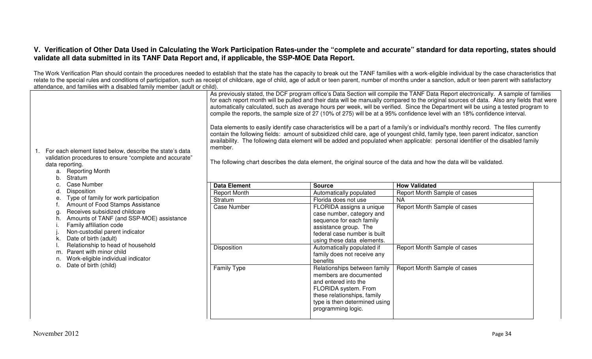### **V. Verification of Other Data Used in Calculating the Work Participation Rates-under the "complete and accurate" standard for data reporting, states should validate all data submitted in its TANF Data Report and, if applicable, the SSP-MOE Data Report.**

The Work Verification Plan should contain the procedures needed to establish that the state has the capacity to break out the TANF families with a work-eligible individual by the case characteristics that relate to the special rules and conditions of participation, such as receipt of childcare, age of child, age of adult or teen parent, number of months under a sanction, adult or teen parent with satisfactory attendance, and families with a disabled family member (adult or child).

| 1. For each element listed below, describe the state's data<br>validation procedures to ensure "complete and accurate"<br>data reporting.<br><b>Reporting Month</b><br>a.<br>Stratum<br>b.                                                                                                                                                                                     | As previously stated, the DCF program office's Data Section will compile the TANF Data Report electronically. A sample of families<br>for each report month will be pulled and their data will be manually compared to the original sources of data. Also any fields that were<br>automatically calculated, such as average hours per week, will be verified. Since the Department will be using a tested program to<br>compile the reports, the sample size of 27 (10% of 275) will be at a 95% confidence level with an 18% confidence interval.<br>Data elements to easily identify case characteristics will be a part of a family's or individual's monthly record. The files currently<br>contain the following fields: amount of subsidized child care, age of youngest child, family type, teen parent indicator, sanction<br>availability. The following data element will be added and populated when applicable: personal identifier of the disabled family<br>member.<br>The following chart describes the data element, the original source of the data and how the data will be validated. |                                                                                                                                                                                              |                              |
|--------------------------------------------------------------------------------------------------------------------------------------------------------------------------------------------------------------------------------------------------------------------------------------------------------------------------------------------------------------------------------|----------------------------------------------------------------------------------------------------------------------------------------------------------------------------------------------------------------------------------------------------------------------------------------------------------------------------------------------------------------------------------------------------------------------------------------------------------------------------------------------------------------------------------------------------------------------------------------------------------------------------------------------------------------------------------------------------------------------------------------------------------------------------------------------------------------------------------------------------------------------------------------------------------------------------------------------------------------------------------------------------------------------------------------------------------------------------------------------------------|----------------------------------------------------------------------------------------------------------------------------------------------------------------------------------------------|------------------------------|
| <b>Case Number</b><br>C.                                                                                                                                                                                                                                                                                                                                                       | <b>Data Element</b>                                                                                                                                                                                                                                                                                                                                                                                                                                                                                                                                                                                                                                                                                                                                                                                                                                                                                                                                                                                                                                                                                      | <b>Source</b>                                                                                                                                                                                | <b>How Validated</b>         |
| Disposition<br>d                                                                                                                                                                                                                                                                                                                                                               | <b>Report Month</b>                                                                                                                                                                                                                                                                                                                                                                                                                                                                                                                                                                                                                                                                                                                                                                                                                                                                                                                                                                                                                                                                                      | Automatically populated                                                                                                                                                                      | Report Month Sample of cases |
| Type of family for work participation<br>е.<br>Amount of Food Stamps Assistance<br>Receives subsidized childcare<br>g<br>Amounts of TANF (and SSP-MOE) assistance<br>h<br>Family affiliation code<br>Non-custodial parent indicator<br>Date of birth (adult)<br>Relationship to head of household<br>Parent with minor child<br>m.<br>Work-eligible individual indicator<br>n. | Stratum                                                                                                                                                                                                                                                                                                                                                                                                                                                                                                                                                                                                                                                                                                                                                                                                                                                                                                                                                                                                                                                                                                  | Florida does not use                                                                                                                                                                         | <b>NA</b>                    |
|                                                                                                                                                                                                                                                                                                                                                                                | <b>Case Number</b>                                                                                                                                                                                                                                                                                                                                                                                                                                                                                                                                                                                                                                                                                                                                                                                                                                                                                                                                                                                                                                                                                       | FLORIDA assigns a unique<br>case number, category and<br>sequence for each family<br>assistance group. The<br>federal case number is built<br>using these data elements.                     | Report Month Sample of cases |
|                                                                                                                                                                                                                                                                                                                                                                                | Disposition                                                                                                                                                                                                                                                                                                                                                                                                                                                                                                                                                                                                                                                                                                                                                                                                                                                                                                                                                                                                                                                                                              | Automatically populated if<br>family does not receive any<br>benefits                                                                                                                        | Report Month Sample of cases |
| Date of birth (child)<br>O.                                                                                                                                                                                                                                                                                                                                                    | <b>Family Type</b>                                                                                                                                                                                                                                                                                                                                                                                                                                                                                                                                                                                                                                                                                                                                                                                                                                                                                                                                                                                                                                                                                       | Relationships between family<br>members are documented<br>and entered into the<br>FLORIDA system. From<br>these relationships, family<br>type is then determined using<br>programming logic. | Report Month Sample of cases |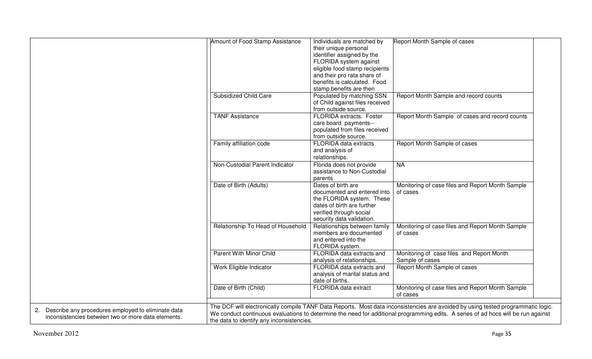|                                                       | Amount of Food Stamp Assistance           | Individuals are matched by      | Report Month Sample of cases                                                                                                      |
|-------------------------------------------------------|-------------------------------------------|---------------------------------|-----------------------------------------------------------------------------------------------------------------------------------|
|                                                       |                                           | their unique personal           |                                                                                                                                   |
|                                                       |                                           | identifier assigned by the      |                                                                                                                                   |
|                                                       |                                           | FLORIDA system against          |                                                                                                                                   |
|                                                       |                                           | eligible food stamp recipients  |                                                                                                                                   |
|                                                       |                                           | and their pro rata share of     |                                                                                                                                   |
|                                                       |                                           | benefits is calculated. Food    |                                                                                                                                   |
|                                                       |                                           | stamp benefits are then         |                                                                                                                                   |
|                                                       | <b>Subsidized Child Care</b>              | Populated by matching SSN       | Report Month Sample and record counts                                                                                             |
|                                                       |                                           | of Child against files received |                                                                                                                                   |
|                                                       |                                           | from outside source.            |                                                                                                                                   |
|                                                       | <b>TANF Assistance</b>                    | FLORIDA extracts. Foster        | Report Month Sample of cases and record counts                                                                                    |
|                                                       |                                           | care board payments--           |                                                                                                                                   |
|                                                       |                                           | populated from files received   |                                                                                                                                   |
|                                                       |                                           | from outside source.            |                                                                                                                                   |
|                                                       | Family affiliation code                   | FLORIDA data extracts           | Report Month Sample of cases                                                                                                      |
|                                                       |                                           | and analysis of                 |                                                                                                                                   |
|                                                       |                                           | relationships.                  |                                                                                                                                   |
|                                                       | Non-Custodial Parent Indicator            | Florida does not provide        | <b>NA</b>                                                                                                                         |
|                                                       |                                           | assistance to Non-Custodial     |                                                                                                                                   |
|                                                       |                                           | parents                         |                                                                                                                                   |
|                                                       | Date of Birth (Adults)                    | Dates of birth are              | Monitoring of case files and Report Month Sample                                                                                  |
|                                                       |                                           | documented and entered into     | of cases                                                                                                                          |
|                                                       |                                           | the FLORIDA system. These       |                                                                                                                                   |
|                                                       |                                           | dates of birth are further      |                                                                                                                                   |
|                                                       |                                           | verified through social         |                                                                                                                                   |
|                                                       |                                           | security data validation.       |                                                                                                                                   |
|                                                       | Relationship To Head of Household         | Relationships between family    | Monitoring of case files and Report Month Sample                                                                                  |
|                                                       |                                           | members are documented          | of cases                                                                                                                          |
|                                                       |                                           | and entered into the            |                                                                                                                                   |
|                                                       |                                           | FLORIDA system.                 |                                                                                                                                   |
|                                                       | Parent With Minor Child                   |                                 |                                                                                                                                   |
|                                                       |                                           | FLORIDA data extracts and       | Monitoring of case files and Report Month<br>Sample of cases                                                                      |
|                                                       |                                           | analysis of relationships.      |                                                                                                                                   |
|                                                       | Work Eligible Indicator                   | FLORIDA data extracts and       | Report Month Sample of cases                                                                                                      |
|                                                       |                                           | analysis of marital status and  |                                                                                                                                   |
|                                                       |                                           | date of births.                 |                                                                                                                                   |
|                                                       | Date of Birth (Child)                     | FLORIDA data extract            | Monitoring of case files and Report Month Sample                                                                                  |
|                                                       |                                           |                                 | of cases                                                                                                                          |
|                                                       |                                           |                                 | The DCF will electronically compile TANF Data Reports. Most data inconsistencies are avoided by using tested programmatic logic.  |
| 2. Describe any procedures employed to eliminate data |                                           |                                 | We conduct continuous evaluations to determine the need for additional programming edits. A series of ad hocs will be run against |
| inconsistencies between two or more data elements.    | the data to identify any inconsistencies. |                                 |                                                                                                                                   |
|                                                       |                                           |                                 |                                                                                                                                   |